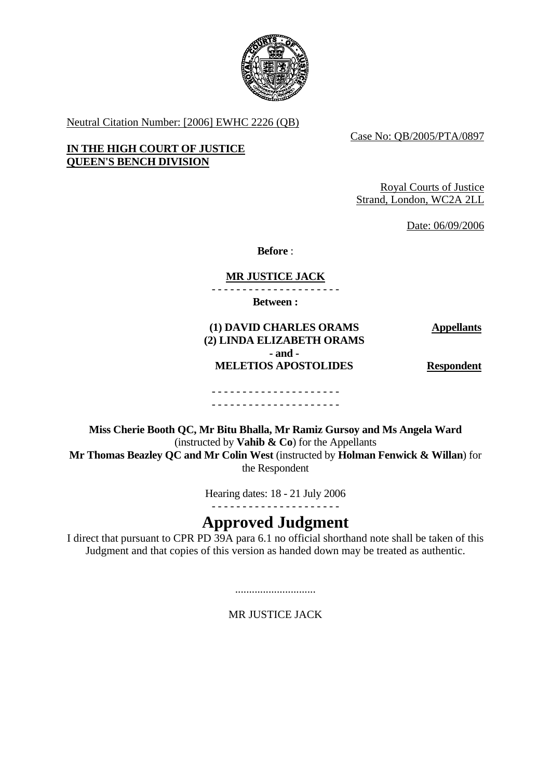

Neutral Citation Number: [2006] EWHC 2226 (QB)

Case No: QB/2005/PTA/0897

## **IN THE HIGH COURT OF JUSTICE QUEEN'S BENCH DIVISION**

Royal Courts of Justice Strand, London, WC2A 2LL

Date: 06/09/2006

**Before** :

## **MR JUSTICE JACK**

- - - - - - - - - - - - - - - - - - - - -

**Between :** 

**Appellants**

## **(1) DAVID CHARLES ORAMS (2) LINDA ELIZABETH ORAMS - and - MELETIOS APOSTOLIDES Respondent**

#### - - - - - - - - - - - - - - - - - - - - - - - - - - - - - - - - - - - - - - - - - -

**Miss Cherie Booth QC, Mr Bitu Bhalla, Mr Ramiz Gursoy and Ms Angela Ward**  (instructed by **Vahib & Co**) for the Appellants **Mr Thomas Beazley QC and Mr Colin West** (instructed by **Holman Fenwick & Willan**) for the Respondent

Hearing dates: 18 - 21 July 2006

- - - - - - - - - - - - - - - - - - - - -

# **Approved Judgment**

I direct that pursuant to CPR PD 39A para 6.1 no official shorthand note shall be taken of this Judgment and that copies of this version as handed down may be treated as authentic.

.............................

MR JUSTICE JACK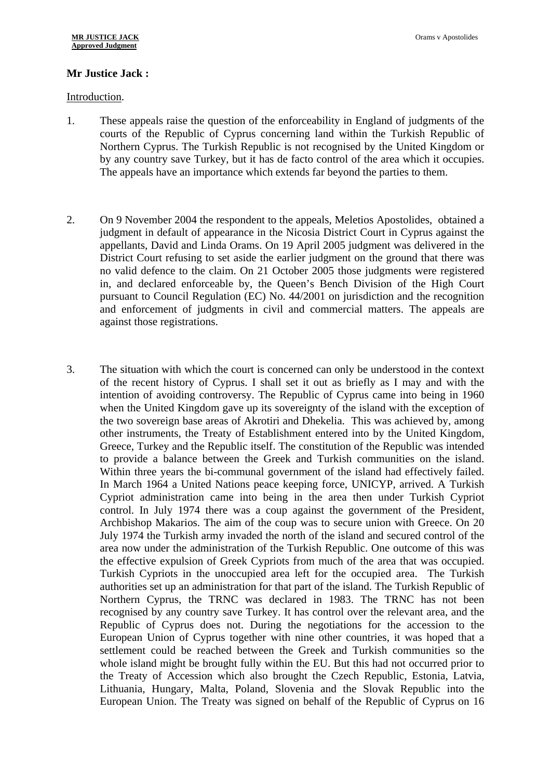## **Mr Justice Jack :**

#### Introduction.

- 1. These appeals raise the question of the enforceability in England of judgments of the courts of the Republic of Cyprus concerning land within the Turkish Republic of Northern Cyprus. The Turkish Republic is not recognised by the United Kingdom or by any country save Turkey, but it has de facto control of the area which it occupies. The appeals have an importance which extends far beyond the parties to them.
- 2. On 9 November 2004 the respondent to the appeals, Meletios Apostolides, obtained a judgment in default of appearance in the Nicosia District Court in Cyprus against the appellants, David and Linda Orams. On 19 April 2005 judgment was delivered in the District Court refusing to set aside the earlier judgment on the ground that there was no valid defence to the claim. On 21 October 2005 those judgments were registered in, and declared enforceable by, the Queen's Bench Division of the High Court pursuant to Council Regulation (EC) No. 44/2001 on jurisdiction and the recognition and enforcement of judgments in civil and commercial matters. The appeals are against those registrations.
- 3. The situation with which the court is concerned can only be understood in the context of the recent history of Cyprus. I shall set it out as briefly as I may and with the intention of avoiding controversy. The Republic of Cyprus came into being in 1960 when the United Kingdom gave up its sovereignty of the island with the exception of the two sovereign base areas of Akrotiri and Dhekelia. This was achieved by, among other instruments, the Treaty of Establishment entered into by the United Kingdom, Greece, Turkey and the Republic itself. The constitution of the Republic was intended to provide a balance between the Greek and Turkish communities on the island. Within three years the bi-communal government of the island had effectively failed. In March 1964 a United Nations peace keeping force, UNICYP, arrived. A Turkish Cypriot administration came into being in the area then under Turkish Cypriot control. In July 1974 there was a coup against the government of the President, Archbishop Makarios. The aim of the coup was to secure union with Greece. On 20 July 1974 the Turkish army invaded the north of the island and secured control of the area now under the administration of the Turkish Republic. One outcome of this was the effective expulsion of Greek Cypriots from much of the area that was occupied. Turkish Cypriots in the unoccupied area left for the occupied area. The Turkish authorities set up an administration for that part of the island. The Turkish Republic of Northern Cyprus, the TRNC was declared in 1983. The TRNC has not been recognised by any country save Turkey. It has control over the relevant area, and the Republic of Cyprus does not. During the negotiations for the accession to the European Union of Cyprus together with nine other countries, it was hoped that a settlement could be reached between the Greek and Turkish communities so the whole island might be brought fully within the EU. But this had not occurred prior to the Treaty of Accession which also brought the Czech Republic, Estonia, Latvia, Lithuania, Hungary, Malta, Poland, Slovenia and the Slovak Republic into the European Union. The Treaty was signed on behalf of the Republic of Cyprus on 16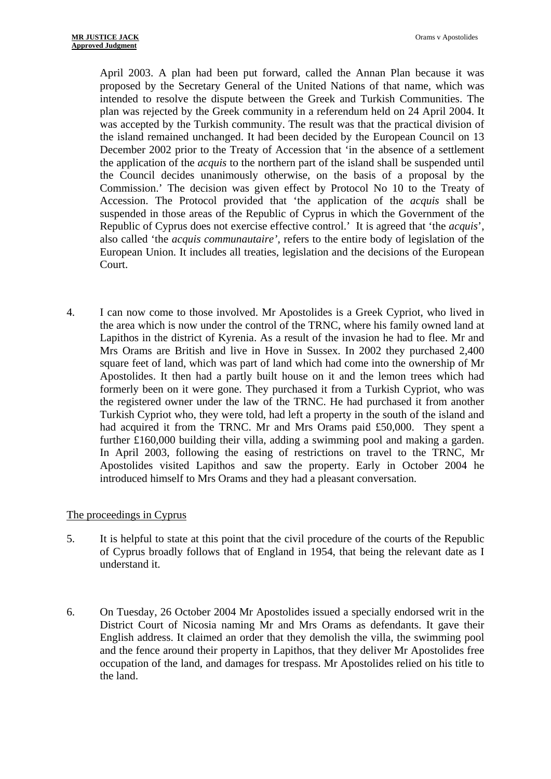April 2003. A plan had been put forward, called the Annan Plan because it was proposed by the Secretary General of the United Nations of that name, which was intended to resolve the dispute between the Greek and Turkish Communities. The plan was rejected by the Greek community in a referendum held on 24 April 2004. It was accepted by the Turkish community. The result was that the practical division of the island remained unchanged. It had been decided by the European Council on 13 December 2002 prior to the Treaty of Accession that 'in the absence of a settlement the application of the *acquis* to the northern part of the island shall be suspended until the Council decides unanimously otherwise, on the basis of a proposal by the Commission.' The decision was given effect by Protocol No 10 to the Treaty of Accession. The Protocol provided that 'the application of the *acquis* shall be suspended in those areas of the Republic of Cyprus in which the Government of the Republic of Cyprus does not exercise effective control.' It is agreed that 'the *acquis*', also called 'the *acquis communautaire'*, refers to the entire body of legislation of the European Union. It includes all treaties, legislation and the decisions of the European Court.

4. I can now come to those involved. Mr Apostolides is a Greek Cypriot, who lived in the area which is now under the control of the TRNC, where his family owned land at Lapithos in the district of Kyrenia. As a result of the invasion he had to flee. Mr and Mrs Orams are British and live in Hove in Sussex. In 2002 they purchased 2,400 square feet of land, which was part of land which had come into the ownership of Mr Apostolides. It then had a partly built house on it and the lemon trees which had formerly been on it were gone. They purchased it from a Turkish Cypriot, who was the registered owner under the law of the TRNC. He had purchased it from another Turkish Cypriot who, they were told, had left a property in the south of the island and had acquired it from the TRNC. Mr and Mrs Orams paid £50,000. They spent a further £160,000 building their villa, adding a swimming pool and making a garden. In April 2003, following the easing of restrictions on travel to the TRNC, Mr Apostolides visited Lapithos and saw the property. Early in October 2004 he introduced himself to Mrs Orams and they had a pleasant conversation.

## The proceedings in Cyprus

- 5. It is helpful to state at this point that the civil procedure of the courts of the Republic of Cyprus broadly follows that of England in 1954, that being the relevant date as I understand it.
- 6. On Tuesday, 26 October 2004 Mr Apostolides issued a specially endorsed writ in the District Court of Nicosia naming Mr and Mrs Orams as defendants. It gave their English address. It claimed an order that they demolish the villa, the swimming pool and the fence around their property in Lapithos, that they deliver Mr Apostolides free occupation of the land, and damages for trespass. Mr Apostolides relied on his title to the land.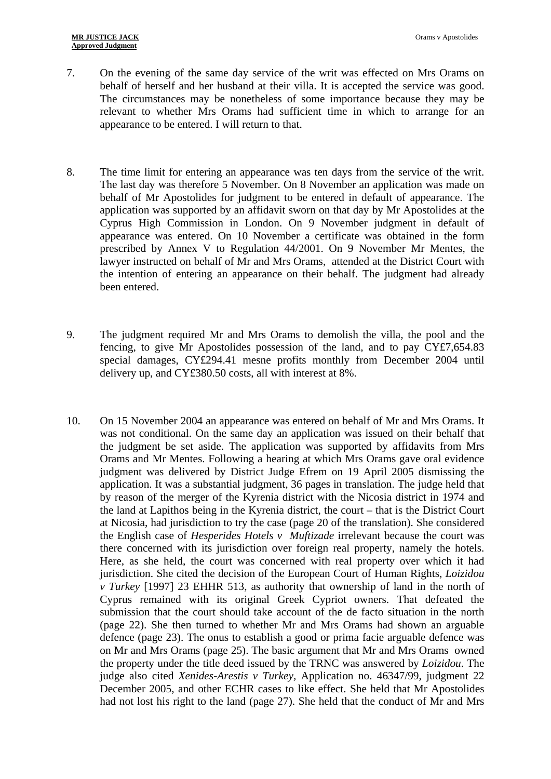- 7. On the evening of the same day service of the writ was effected on Mrs Orams on behalf of herself and her husband at their villa. It is accepted the service was good. The circumstances may be nonetheless of some importance because they may be relevant to whether Mrs Orams had sufficient time in which to arrange for an appearance to be entered. I will return to that.
- 8. The time limit for entering an appearance was ten days from the service of the writ. The last day was therefore 5 November. On 8 November an application was made on behalf of Mr Apostolides for judgment to be entered in default of appearance. The application was supported by an affidavit sworn on that day by Mr Apostolides at the Cyprus High Commission in London. On 9 November judgment in default of appearance was entered. On 10 November a certificate was obtained in the form prescribed by Annex V to Regulation 44/2001. On 9 November Mr Mentes, the lawyer instructed on behalf of Mr and Mrs Orams, attended at the District Court with the intention of entering an appearance on their behalf. The judgment had already been entered.
- 9. The judgment required Mr and Mrs Orams to demolish the villa, the pool and the fencing, to give Mr Apostolides possession of the land, and to pay CY£7,654.83 special damages, CY£294.41 mesne profits monthly from December 2004 until delivery up, and CY£380.50 costs, all with interest at 8%.
- 10. On 15 November 2004 an appearance was entered on behalf of Mr and Mrs Orams. It was not conditional. On the same day an application was issued on their behalf that the judgment be set aside. The application was supported by affidavits from Mrs Orams and Mr Mentes. Following a hearing at which Mrs Orams gave oral evidence judgment was delivered by District Judge Efrem on 19 April 2005 dismissing the application. It was a substantial judgment, 36 pages in translation. The judge held that by reason of the merger of the Kyrenia district with the Nicosia district in 1974 and the land at Lapithos being in the Kyrenia district, the court – that is the District Court at Nicosia, had jurisdiction to try the case (page 20 of the translation). She considered the English case of *Hesperides Hotels v Muftizade* irrelevant because the court was there concerned with its jurisdiction over foreign real property, namely the hotels. Here, as she held, the court was concerned with real property over which it had jurisdiction. She cited the decision of the European Court of Human Rights, *Loizidou v Turkey* [1997] 23 EHHR 513, as authority that ownership of land in the north of Cyprus remained with its original Greek Cypriot owners. That defeated the submission that the court should take account of the de facto situation in the north (page 22). She then turned to whether Mr and Mrs Orams had shown an arguable defence (page 23). The onus to establish a good or prima facie arguable defence was on Mr and Mrs Orams (page 25). The basic argument that Mr and Mrs Orams owned the property under the title deed issued by the TRNC was answered by *Loizidou*. The judge also cited *Xenides-Arestis v Turkey,* Application no. 46347/99, judgment 22 December 2005, and other ECHR cases to like effect. She held that Mr Apostolides had not lost his right to the land (page 27). She held that the conduct of Mr and Mrs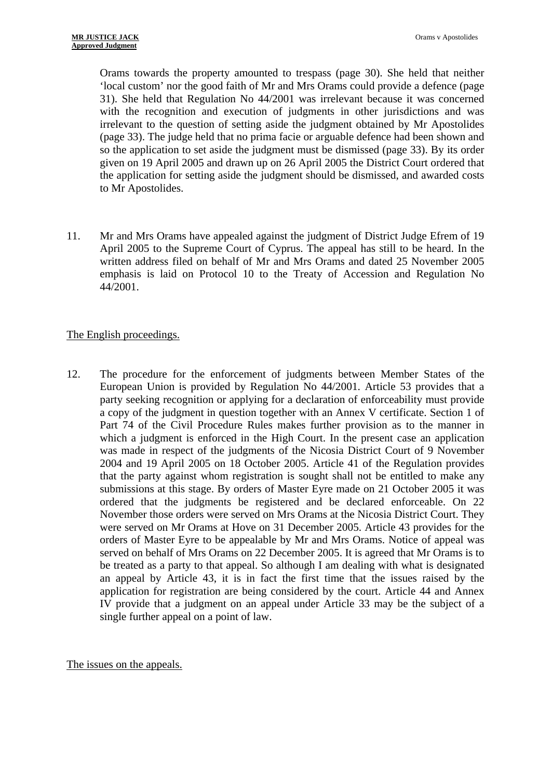Orams towards the property amounted to trespass (page 30). She held that neither 'local custom' nor the good faith of Mr and Mrs Orams could provide a defence (page 31). She held that Regulation No 44/2001 was irrelevant because it was concerned with the recognition and execution of judgments in other jurisdictions and was irrelevant to the question of setting aside the judgment obtained by Mr Apostolides (page 33). The judge held that no prima facie or arguable defence had been shown and so the application to set aside the judgment must be dismissed (page 33). By its order given on 19 April 2005 and drawn up on 26 April 2005 the District Court ordered that the application for setting aside the judgment should be dismissed, and awarded costs to Mr Apostolides.

11. Mr and Mrs Orams have appealed against the judgment of District Judge Efrem of 19 April 2005 to the Supreme Court of Cyprus. The appeal has still to be heard. In the written address filed on behalf of Mr and Mrs Orams and dated 25 November 2005 emphasis is laid on Protocol 10 to the Treaty of Accession and Regulation No 44/2001.

## The English proceedings.

12. The procedure for the enforcement of judgments between Member States of the European Union is provided by Regulation No 44/2001. Article 53 provides that a party seeking recognition or applying for a declaration of enforceability must provide a copy of the judgment in question together with an Annex V certificate. Section 1 of Part 74 of the Civil Procedure Rules makes further provision as to the manner in which a judgment is enforced in the High Court. In the present case an application was made in respect of the judgments of the Nicosia District Court of 9 November 2004 and 19 April 2005 on 18 October 2005. Article 41 of the Regulation provides that the party against whom registration is sought shall not be entitled to make any submissions at this stage. By orders of Master Eyre made on 21 October 2005 it was ordered that the judgments be registered and be declared enforceable. On 22 November those orders were served on Mrs Orams at the Nicosia District Court. They were served on Mr Orams at Hove on 31 December 2005. Article 43 provides for the orders of Master Eyre to be appealable by Mr and Mrs Orams. Notice of appeal was served on behalf of Mrs Orams on 22 December 2005. It is agreed that Mr Orams is to be treated as a party to that appeal. So although I am dealing with what is designated an appeal by Article 43, it is in fact the first time that the issues raised by the application for registration are being considered by the court. Article 44 and Annex IV provide that a judgment on an appeal under Article 33 may be the subject of a single further appeal on a point of law.

The issues on the appeals.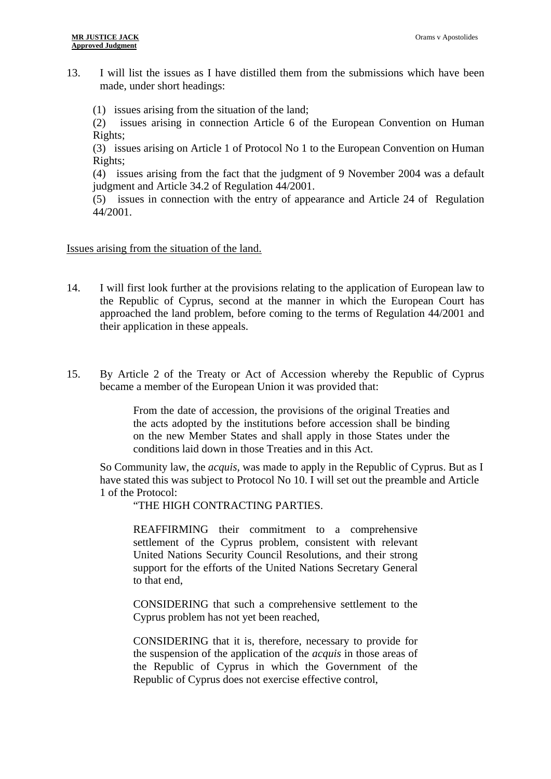13. I will list the issues as I have distilled them from the submissions which have been made, under short headings:

(1) issues arising from the situation of the land;

(2) issues arising in connection Article 6 of the European Convention on Human Rights;

(3) issues arising on Article 1 of Protocol No 1 to the European Convention on Human Rights;

(4) issues arising from the fact that the judgment of 9 November 2004 was a default judgment and Article 34.2 of Regulation 44/2001.

(5) issues in connection with the entry of appearance and Article 24 of Regulation 44/2001.

Issues arising from the situation of the land.

- 14. I will first look further at the provisions relating to the application of European law to the Republic of Cyprus, second at the manner in which the European Court has approached the land problem, before coming to the terms of Regulation 44/2001 and their application in these appeals.
- 15. By Article 2 of the Treaty or Act of Accession whereby the Republic of Cyprus became a member of the European Union it was provided that:

From the date of accession, the provisions of the original Treaties and the acts adopted by the institutions before accession shall be binding on the new Member States and shall apply in those States under the conditions laid down in those Treaties and in this Act.

So Community law, the *acquis*, was made to apply in the Republic of Cyprus. But as I have stated this was subject to Protocol No 10. I will set out the preamble and Article 1 of the Protocol:

"THE HIGH CONTRACTING PARTIES.

REAFFIRMING their commitment to a comprehensive settlement of the Cyprus problem, consistent with relevant United Nations Security Council Resolutions, and their strong support for the efforts of the United Nations Secretary General to that end,

CONSIDERING that such a comprehensive settlement to the Cyprus problem has not yet been reached,

CONSIDERING that it is, therefore, necessary to provide for the suspension of the application of the *acquis* in those areas of the Republic of Cyprus in which the Government of the Republic of Cyprus does not exercise effective control,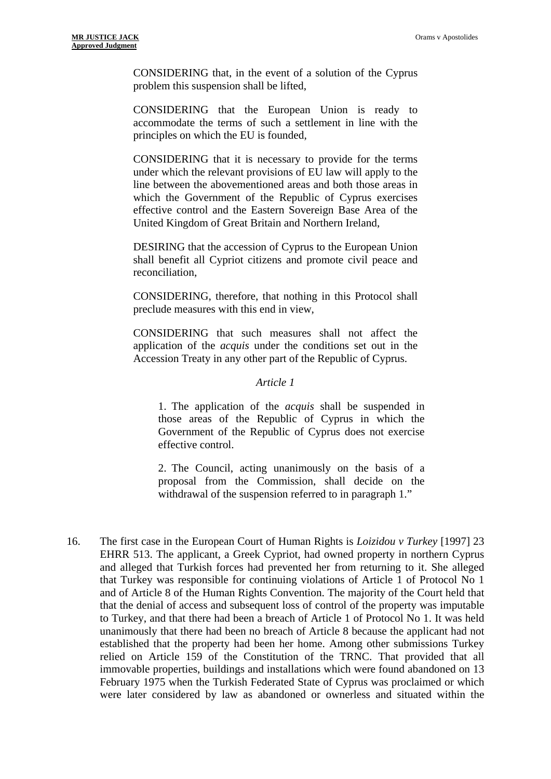CONSIDERING that, in the event of a solution of the Cyprus problem this suspension shall be lifted,

CONSIDERING that the European Union is ready to accommodate the terms of such a settlement in line with the principles on which the EU is founded,

CONSIDERING that it is necessary to provide for the terms under which the relevant provisions of EU law will apply to the line between the abovementioned areas and both those areas in which the Government of the Republic of Cyprus exercises effective control and the Eastern Sovereign Base Area of the United Kingdom of Great Britain and Northern Ireland,

DESIRING that the accession of Cyprus to the European Union shall benefit all Cypriot citizens and promote civil peace and reconciliation,

CONSIDERING, therefore, that nothing in this Protocol shall preclude measures with this end in view,

CONSIDERING that such measures shall not affect the application of the *acquis* under the conditions set out in the Accession Treaty in any other part of the Republic of Cyprus.

#### *Article 1*

1. The application of the *acquis* shall be suspended in those areas of the Republic of Cyprus in which the Government of the Republic of Cyprus does not exercise effective control.

2. The Council, acting unanimously on the basis of a proposal from the Commission, shall decide on the withdrawal of the suspension referred to in paragraph 1."

16. The first case in the European Court of Human Rights is *Loizidou v Turkey* [1997] 23 EHRR 513. The applicant, a Greek Cypriot, had owned property in northern Cyprus and alleged that Turkish forces had prevented her from returning to it. She alleged that Turkey was responsible for continuing violations of Article 1 of Protocol No 1 and of Article 8 of the Human Rights Convention. The majority of the Court held that that the denial of access and subsequent loss of control of the property was imputable to Turkey, and that there had been a breach of Article 1 of Protocol No 1. It was held unanimously that there had been no breach of Article 8 because the applicant had not established that the property had been her home. Among other submissions Turkey relied on Article 159 of the Constitution of the TRNC. That provided that all immovable properties, buildings and installations which were found abandoned on 13 February 1975 when the Turkish Federated State of Cyprus was proclaimed or which were later considered by law as abandoned or ownerless and situated within the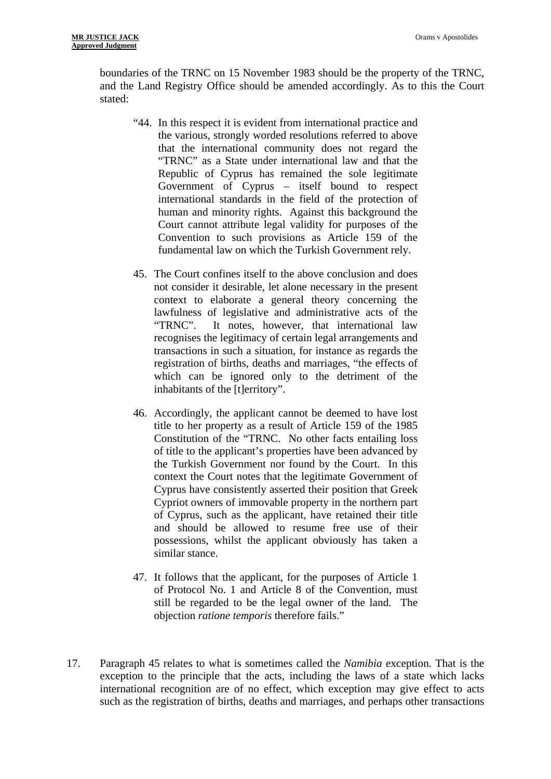boundaries of the TRNC on 15 November 1983 should be the property of the TRNC, and the Land Registry Office should be amended accordingly. As to this the Court stated:

- "44. In this respect it is evident from international practice and the various, strongly worded resolutions referred to above that the international community does not regard the "TRNC" as a State under international law and that the Republic of Cyprus has remained the sole legitimate Government of Cyprus – itself bound to respect international standards in the field of the protection of human and minority rights. Against this background the Court cannot attribute legal validity for purposes of the Convention to such provisions as Article 159 of the fundamental law on which the Turkish Government rely.
- 45. The Court confines itself to the above conclusion and does not consider it desirable, let alone necessary in the present context to elaborate a general theory concerning the lawfulness of legislative and administrative acts of the "TRNC". It notes, however, that international law recognises the legitimacy of certain legal arrangements and transactions in such a situation, for instance as regards the registration of births, deaths and marriages, "the effects of which can be ignored only to the detriment of the inhabitants of the [t]erritory".
- 46. Accordingly, the applicant cannot be deemed to have lost title to her property as a result of Article 159 of the 1985 Constitution of the "TRNC. No other facts entailing loss of title to the applicant's properties have been advanced by the Turkish Government nor found by the Court. In this context the Court notes that the legitimate Government of Cyprus have consistently asserted their position that Greek Cypriot owners of immovable property in the northern part of Cyprus, such as the applicant, have retained their title and should be allowed to resume free use of their possessions, whilst the applicant obviously has taken a similar stance.
- 47. It follows that the applicant, for the purposes of Article 1 of Protocol No. 1 and Article 8 of the Convention, must still be regarded to be the legal owner of the land. The objection *ratione temporis* therefore fails."
- 17. Paragraph 45 relates to what is sometimes called the *Namibia* exception. That is the exception to the principle that the acts, including the laws of a state which lacks international recognition are of no effect, which exception may give effect to acts such as the registration of births, deaths and marriages, and perhaps other transactions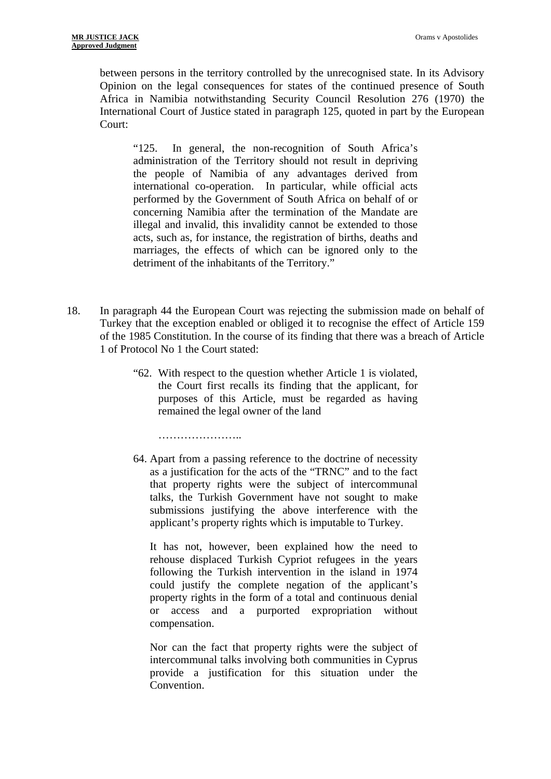between persons in the territory controlled by the unrecognised state. In its Advisory Opinion on the legal consequences for states of the continued presence of South Africa in Namibia notwithstanding Security Council Resolution 276 (1970) the International Court of Justice stated in paragraph 125, quoted in part by the European Court:

"125. In general, the non-recognition of South Africa's administration of the Territory should not result in depriving the people of Namibia of any advantages derived from international co-operation. In particular, while official acts performed by the Government of South Africa on behalf of or concerning Namibia after the termination of the Mandate are illegal and invalid, this invalidity cannot be extended to those acts, such as, for instance, the registration of births, deaths and marriages, the effects of which can be ignored only to the detriment of the inhabitants of the Territory."

- 18. In paragraph 44 the European Court was rejecting the submission made on behalf of Turkey that the exception enabled or obliged it to recognise the effect of Article 159 of the 1985 Constitution. In the course of its finding that there was a breach of Article 1 of Protocol No 1 the Court stated:
	- "62. With respect to the question whether Article 1 is violated, the Court first recalls its finding that the applicant, for purposes of this Article, must be regarded as having remained the legal owner of the land

……………………

64. Apart from a passing reference to the doctrine of necessity as a justification for the acts of the "TRNC" and to the fact that property rights were the subject of intercommunal talks, the Turkish Government have not sought to make submissions justifying the above interference with the applicant's property rights which is imputable to Turkey.

It has not, however, been explained how the need to rehouse displaced Turkish Cypriot refugees in the years following the Turkish intervention in the island in 1974 could justify the complete negation of the applicant's property rights in the form of a total and continuous denial or access and a purported expropriation without compensation.

Nor can the fact that property rights were the subject of intercommunal talks involving both communities in Cyprus provide a justification for this situation under the **Convention**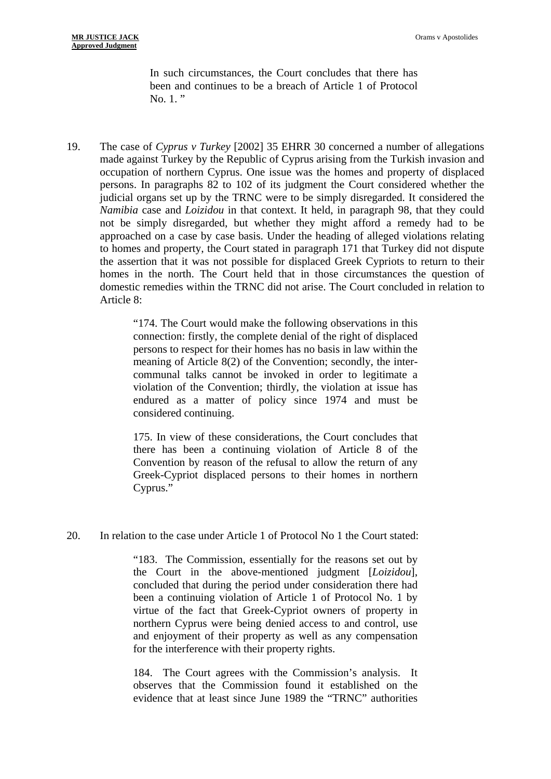In such circumstances, the Court concludes that there has been and continues to be a breach of Article 1 of Protocol No. 1."

19. The case of *Cyprus v Turkey* [2002] 35 EHRR 30 concerned a number of allegations made against Turkey by the Republic of Cyprus arising from the Turkish invasion and occupation of northern Cyprus. One issue was the homes and property of displaced persons. In paragraphs 82 to 102 of its judgment the Court considered whether the judicial organs set up by the TRNC were to be simply disregarded. It considered the *Namibia* case and *Loizidou* in that context. It held, in paragraph 98, that they could not be simply disregarded, but whether they might afford a remedy had to be approached on a case by case basis. Under the heading of alleged violations relating to homes and property, the Court stated in paragraph 171 that Turkey did not dispute the assertion that it was not possible for displaced Greek Cypriots to return to their homes in the north. The Court held that in those circumstances the question of domestic remedies within the TRNC did not arise. The Court concluded in relation to Article 8:

> "174. The Court would make the following observations in this connection: firstly, the complete denial of the right of displaced persons to respect for their homes has no basis in law within the meaning of Article 8(2) of the Convention; secondly, the intercommunal talks cannot be invoked in order to legitimate a violation of the Convention; thirdly, the violation at issue has endured as a matter of policy since 1974 and must be considered continuing.

> 175. In view of these considerations, the Court concludes that there has been a continuing violation of Article 8 of the Convention by reason of the refusal to allow the return of any Greek-Cypriot displaced persons to their homes in northern Cyprus."

20. In relation to the case under Article 1 of Protocol No 1 the Court stated:

"183. The Commission, essentially for the reasons set out by the Court in the above-mentioned judgment [*Loizidou*], concluded that during the period under consideration there had been a continuing violation of Article 1 of Protocol No. 1 by virtue of the fact that Greek-Cypriot owners of property in northern Cyprus were being denied access to and control, use and enjoyment of their property as well as any compensation for the interference with their property rights.

184. The Court agrees with the Commission's analysis. It observes that the Commission found it established on the evidence that at least since June 1989 the "TRNC" authorities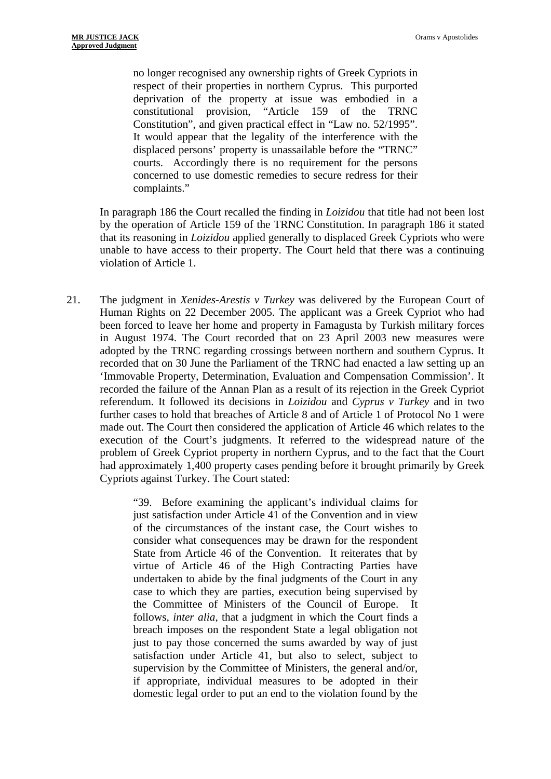no longer recognised any ownership rights of Greek Cypriots in respect of their properties in northern Cyprus. This purported deprivation of the property at issue was embodied in a constitutional provision, "Article 159 of the TRNC Constitution", and given practical effect in "Law no. 52/1995". It would appear that the legality of the interference with the displaced persons' property is unassailable before the "TRNC" courts. Accordingly there is no requirement for the persons concerned to use domestic remedies to secure redress for their complaints."

In paragraph 186 the Court recalled the finding in *Loizidou* that title had not been lost by the operation of Article 159 of the TRNC Constitution. In paragraph 186 it stated that its reasoning in *Loizidou* applied generally to displaced Greek Cypriots who were unable to have access to their property. The Court held that there was a continuing violation of Article 1.

21. The judgment in *Xenides-Arestis v Turkey* was delivered by the European Court of Human Rights on 22 December 2005. The applicant was a Greek Cypriot who had been forced to leave her home and property in Famagusta by Turkish military forces in August 1974. The Court recorded that on 23 April 2003 new measures were adopted by the TRNC regarding crossings between northern and southern Cyprus. It recorded that on 30 June the Parliament of the TRNC had enacted a law setting up an 'Immovable Property, Determination, Evaluation and Compensation Commission'. It recorded the failure of the Annan Plan as a result of its rejection in the Greek Cypriot referendum. It followed its decisions in *Loizidou* and *Cyprus v Turkey* and in two further cases to hold that breaches of Article 8 and of Article 1 of Protocol No 1 were made out. The Court then considered the application of Article 46 which relates to the execution of the Court's judgments. It referred to the widespread nature of the problem of Greek Cypriot property in northern Cyprus, and to the fact that the Court had approximately 1,400 property cases pending before it brought primarily by Greek Cypriots against Turkey. The Court stated:

> "39. Before examining the applicant's individual claims for just satisfaction under Article 41 of the Convention and in view of the circumstances of the instant case, the Court wishes to consider what consequences may be drawn for the respondent State from Article 46 of the Convention. It reiterates that by virtue of Article 46 of the High Contracting Parties have undertaken to abide by the final judgments of the Court in any case to which they are parties, execution being supervised by the Committee of Ministers of the Council of Europe. It follows, *inter alia*, that a judgment in which the Court finds a breach imposes on the respondent State a legal obligation not just to pay those concerned the sums awarded by way of just satisfaction under Article 41, but also to select, subject to supervision by the Committee of Ministers, the general and/or, if appropriate, individual measures to be adopted in their domestic legal order to put an end to the violation found by the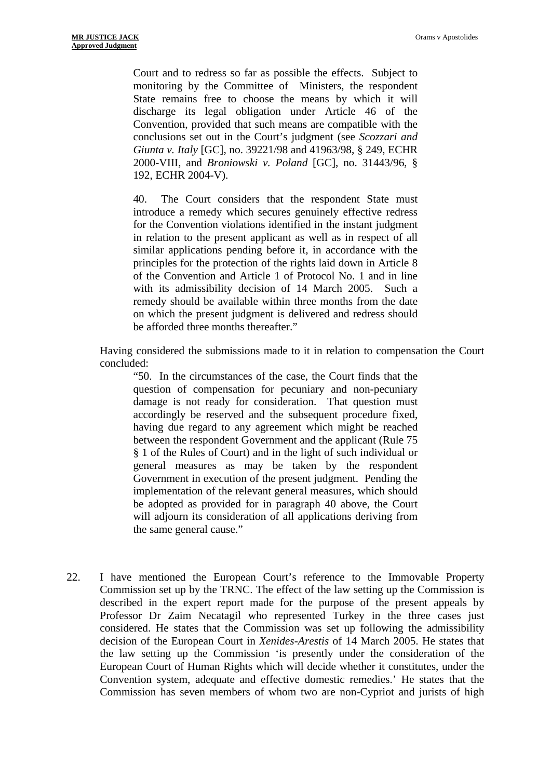Court and to redress so far as possible the effects. Subject to monitoring by the Committee of Ministers, the respondent State remains free to choose the means by which it will discharge its legal obligation under Article 46 of the Convention, provided that such means are compatible with the conclusions set out in the Court's judgment (see *Scozzari and Giunta v. Italy* [GC], no. 39221/98 and 41963/98, § 249, ECHR 2000-VIII, and *Broniowski v. Poland* [GC], no. 31443/96, § 192, ECHR 2004-V).

40. The Court considers that the respondent State must introduce a remedy which secures genuinely effective redress for the Convention violations identified in the instant judgment in relation to the present applicant as well as in respect of all similar applications pending before it, in accordance with the principles for the protection of the rights laid down in Article 8 of the Convention and Article 1 of Protocol No. 1 and in line with its admissibility decision of 14 March 2005. Such a remedy should be available within three months from the date on which the present judgment is delivered and redress should be afforded three months thereafter."

Having considered the submissions made to it in relation to compensation the Court concluded:

"50. In the circumstances of the case, the Court finds that the question of compensation for pecuniary and non-pecuniary damage is not ready for consideration. That question must accordingly be reserved and the subsequent procedure fixed, having due regard to any agreement which might be reached between the respondent Government and the applicant (Rule 75 § 1 of the Rules of Court) and in the light of such individual or general measures as may be taken by the respondent Government in execution of the present judgment. Pending the implementation of the relevant general measures, which should be adopted as provided for in paragraph 40 above, the Court will adjourn its consideration of all applications deriving from the same general cause."

22. I have mentioned the European Court's reference to the Immovable Property Commission set up by the TRNC. The effect of the law setting up the Commission is described in the expert report made for the purpose of the present appeals by Professor Dr Zaim Necatagil who represented Turkey in the three cases just considered. He states that the Commission was set up following the admissibility decision of the European Court in *Xenides-Arestis* of 14 March 2005. He states that the law setting up the Commission 'is presently under the consideration of the European Court of Human Rights which will decide whether it constitutes, under the Convention system, adequate and effective domestic remedies.' He states that the Commission has seven members of whom two are non-Cypriot and jurists of high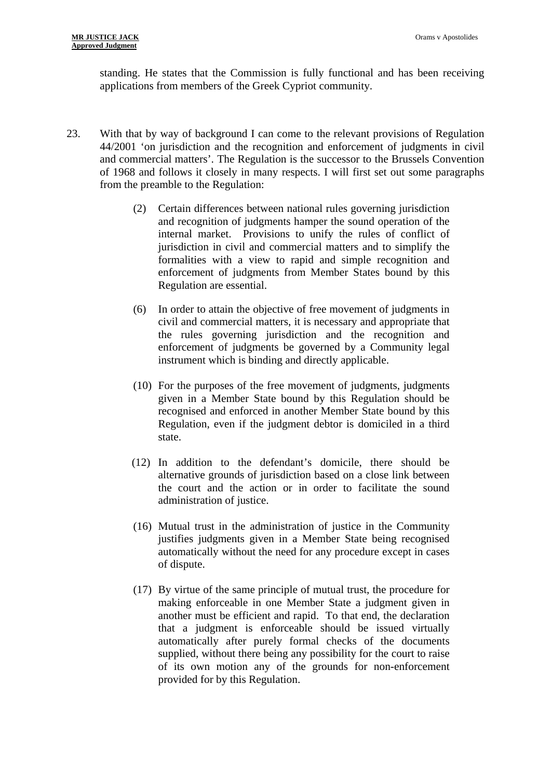standing. He states that the Commission is fully functional and has been receiving applications from members of the Greek Cypriot community.

- 23. With that by way of background I can come to the relevant provisions of Regulation 44/2001 'on jurisdiction and the recognition and enforcement of judgments in civil and commercial matters'. The Regulation is the successor to the Brussels Convention of 1968 and follows it closely in many respects. I will first set out some paragraphs from the preamble to the Regulation:
	- (2) Certain differences between national rules governing jurisdiction and recognition of judgments hamper the sound operation of the internal market. Provisions to unify the rules of conflict of jurisdiction in civil and commercial matters and to simplify the formalities with a view to rapid and simple recognition and enforcement of judgments from Member States bound by this Regulation are essential.
	- (6) In order to attain the objective of free movement of judgments in civil and commercial matters, it is necessary and appropriate that the rules governing jurisdiction and the recognition and enforcement of judgments be governed by a Community legal instrument which is binding and directly applicable.
	- (10) For the purposes of the free movement of judgments, judgments given in a Member State bound by this Regulation should be recognised and enforced in another Member State bound by this Regulation, even if the judgment debtor is domiciled in a third state.
	- (12) In addition to the defendant's domicile, there should be alternative grounds of jurisdiction based on a close link between the court and the action or in order to facilitate the sound administration of justice.
	- (16) Mutual trust in the administration of justice in the Community justifies judgments given in a Member State being recognised automatically without the need for any procedure except in cases of dispute.
	- (17) By virtue of the same principle of mutual trust, the procedure for making enforceable in one Member State a judgment given in another must be efficient and rapid. To that end, the declaration that a judgment is enforceable should be issued virtually automatically after purely formal checks of the documents supplied, without there being any possibility for the court to raise of its own motion any of the grounds for non-enforcement provided for by this Regulation.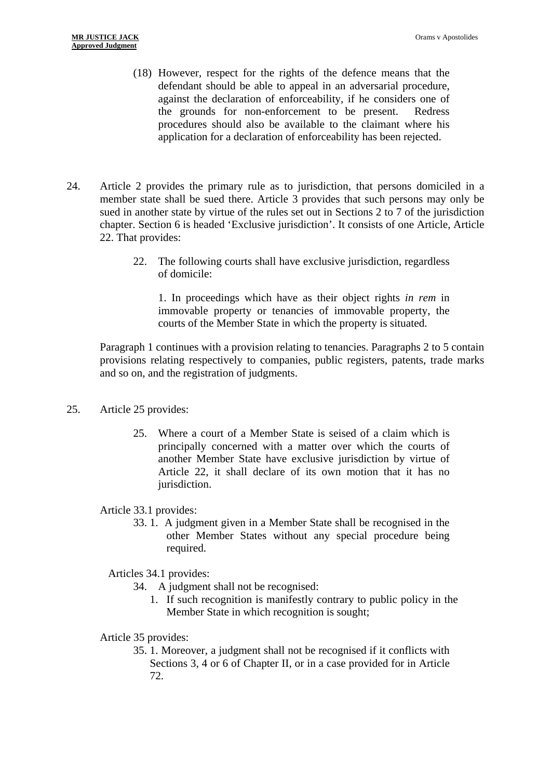- (18) However, respect for the rights of the defence means that the defendant should be able to appeal in an adversarial procedure, against the declaration of enforceability, if he considers one of the grounds for non-enforcement to be present. Redress procedures should also be available to the claimant where his application for a declaration of enforceability has been rejected.
- 24. Article 2 provides the primary rule as to jurisdiction, that persons domiciled in a member state shall be sued there. Article 3 provides that such persons may only be sued in another state by virtue of the rules set out in Sections 2 to 7 of the jurisdiction chapter. Section 6 is headed 'Exclusive jurisdiction'. It consists of one Article, Article 22. That provides:
	- 22. The following courts shall have exclusive jurisdiction, regardless of domicile:

1. In proceedings which have as their object rights *in rem* in immovable property or tenancies of immovable property, the courts of the Member State in which the property is situated.

Paragraph 1 continues with a provision relating to tenancies. Paragraphs 2 to 5 contain provisions relating respectively to companies, public registers, patents, trade marks and so on, and the registration of judgments.

- 25. Article 25 provides:
	- 25. Where a court of a Member State is seised of a claim which is principally concerned with a matter over which the courts of another Member State have exclusive jurisdiction by virtue of Article 22, it shall declare of its own motion that it has no jurisdiction.

Article 33.1 provides:

33. 1. A judgment given in a Member State shall be recognised in the other Member States without any special procedure being required.

Articles 34.1 provides:

- 34. A judgment shall not be recognised:
	- 1. If such recognition is manifestly contrary to public policy in the Member State in which recognition is sought;

Article 35 provides:

35. 1. Moreover, a judgment shall not be recognised if it conflicts with Sections 3, 4 or 6 of Chapter II, or in a case provided for in Article 72.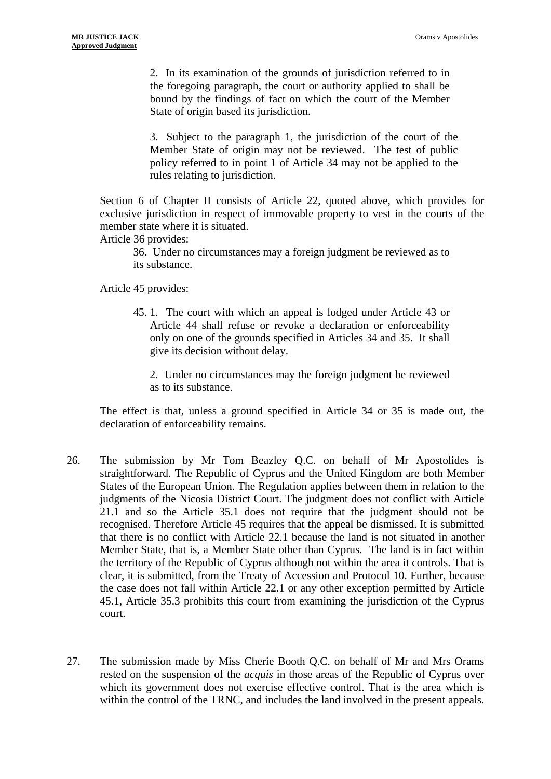2. In its examination of the grounds of jurisdiction referred to in the foregoing paragraph, the court or authority applied to shall be bound by the findings of fact on which the court of the Member State of origin based its jurisdiction.

3. Subject to the paragraph 1, the jurisdiction of the court of the Member State of origin may not be reviewed. The test of public policy referred to in point 1 of Article 34 may not be applied to the rules relating to jurisdiction.

Section 6 of Chapter II consists of Article 22, quoted above, which provides for exclusive jurisdiction in respect of immovable property to vest in the courts of the member state where it is situated.

Article 36 provides:

36. Under no circumstances may a foreign judgment be reviewed as to its substance.

Article 45 provides:

45. 1. The court with which an appeal is lodged under Article 43 or Article 44 shall refuse or revoke a declaration or enforceability only on one of the grounds specified in Articles 34 and 35. It shall give its decision without delay.

2. Under no circumstances may the foreign judgment be reviewed as to its substance.

The effect is that, unless a ground specified in Article 34 or 35 is made out, the declaration of enforceability remains.

- 26. The submission by Mr Tom Beazley Q.C. on behalf of Mr Apostolides is straightforward. The Republic of Cyprus and the United Kingdom are both Member States of the European Union. The Regulation applies between them in relation to the judgments of the Nicosia District Court. The judgment does not conflict with Article 21.1 and so the Article 35.1 does not require that the judgment should not be recognised. Therefore Article 45 requires that the appeal be dismissed. It is submitted that there is no conflict with Article 22.1 because the land is not situated in another Member State, that is, a Member State other than Cyprus. The land is in fact within the territory of the Republic of Cyprus although not within the area it controls. That is clear, it is submitted, from the Treaty of Accession and Protocol 10. Further, because the case does not fall within Article 22.1 or any other exception permitted by Article 45.1, Article 35.3 prohibits this court from examining the jurisdiction of the Cyprus court.
- 27. The submission made by Miss Cherie Booth Q.C. on behalf of Mr and Mrs Orams rested on the suspension of the *acquis* in those areas of the Republic of Cyprus over which its government does not exercise effective control. That is the area which is within the control of the TRNC, and includes the land involved in the present appeals.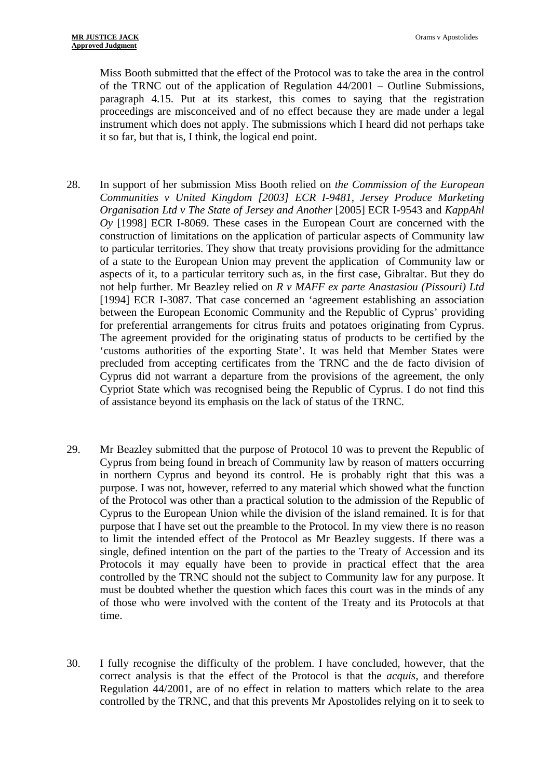Miss Booth submitted that the effect of the Protocol was to take the area in the control of the TRNC out of the application of Regulation 44/2001 – Outline Submissions, paragraph 4.15. Put at its starkest, this comes to saying that the registration proceedings are misconceived and of no effect because they are made under a legal instrument which does not apply. The submissions which I heard did not perhaps take it so far, but that is, I think, the logical end point.

- 28. In support of her submission Miss Booth relied on *the Commission of the European Communities v United Kingdom [2003] ECR I-9481, Jersey Produce Marketing Organisation Ltd v The State of Jersey and Another* [2005] ECR I-9543 and *KappAhl Oy* [1998] ECR I-8069. These cases in the European Court are concerned with the construction of limitations on the application of particular aspects of Community law to particular territories. They show that treaty provisions providing for the admittance of a state to the European Union may prevent the application of Community law or aspects of it, to a particular territory such as, in the first case, Gibraltar. But they do not help further. Mr Beazley relied on *R v MAFF ex parte Anastasiou (Pissouri) Ltd*  [1994] ECR I-3087. That case concerned an 'agreement establishing an association between the European Economic Community and the Republic of Cyprus' providing for preferential arrangements for citrus fruits and potatoes originating from Cyprus. The agreement provided for the originating status of products to be certified by the 'customs authorities of the exporting State'. It was held that Member States were precluded from accepting certificates from the TRNC and the de facto division of Cyprus did not warrant a departure from the provisions of the agreement, the only Cypriot State which was recognised being the Republic of Cyprus. I do not find this of assistance beyond its emphasis on the lack of status of the TRNC.
- 29. Mr Beazley submitted that the purpose of Protocol 10 was to prevent the Republic of Cyprus from being found in breach of Community law by reason of matters occurring in northern Cyprus and beyond its control. He is probably right that this was a purpose. I was not, however, referred to any material which showed what the function of the Protocol was other than a practical solution to the admission of the Republic of Cyprus to the European Union while the division of the island remained. It is for that purpose that I have set out the preamble to the Protocol. In my view there is no reason to limit the intended effect of the Protocol as Mr Beazley suggests. If there was a single, defined intention on the part of the parties to the Treaty of Accession and its Protocols it may equally have been to provide in practical effect that the area controlled by the TRNC should not the subject to Community law for any purpose. It must be doubted whether the question which faces this court was in the minds of any of those who were involved with the content of the Treaty and its Protocols at that time.
- 30. I fully recognise the difficulty of the problem. I have concluded, however, that the correct analysis is that the effect of the Protocol is that the *acquis,* and therefore Regulation 44/2001, are of no effect in relation to matters which relate to the area controlled by the TRNC, and that this prevents Mr Apostolides relying on it to seek to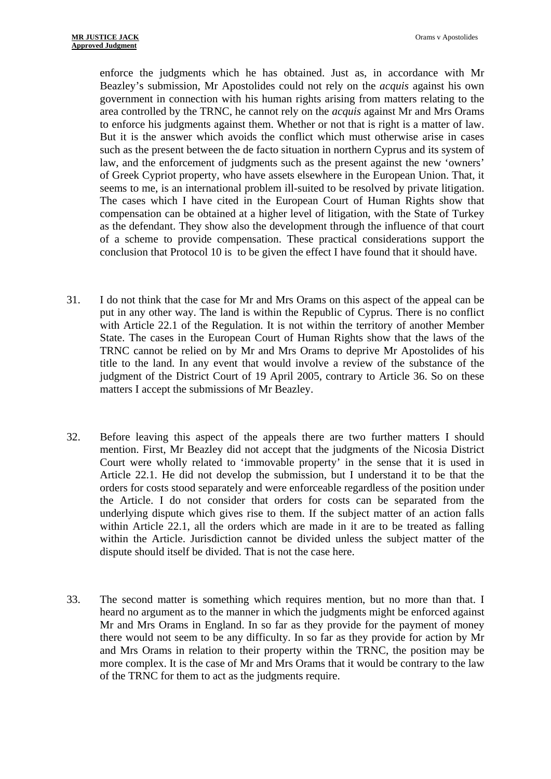enforce the judgments which he has obtained. Just as, in accordance with Mr Beazley's submission, Mr Apostolides could not rely on the *acquis* against his own government in connection with his human rights arising from matters relating to the area controlled by the TRNC, he cannot rely on the *acquis* against Mr and Mrs Orams to enforce his judgments against them. Whether or not that is right is a matter of law. But it is the answer which avoids the conflict which must otherwise arise in cases such as the present between the de facto situation in northern Cyprus and its system of law, and the enforcement of judgments such as the present against the new 'owners' of Greek Cypriot property, who have assets elsewhere in the European Union. That, it seems to me, is an international problem ill-suited to be resolved by private litigation. The cases which I have cited in the European Court of Human Rights show that compensation can be obtained at a higher level of litigation, with the State of Turkey as the defendant. They show also the development through the influence of that court of a scheme to provide compensation. These practical considerations support the conclusion that Protocol 10 is to be given the effect I have found that it should have.

- 31. I do not think that the case for Mr and Mrs Orams on this aspect of the appeal can be put in any other way. The land is within the Republic of Cyprus. There is no conflict with Article 22.1 of the Regulation. It is not within the territory of another Member State. The cases in the European Court of Human Rights show that the laws of the TRNC cannot be relied on by Mr and Mrs Orams to deprive Mr Apostolides of his title to the land. In any event that would involve a review of the substance of the judgment of the District Court of 19 April 2005, contrary to Article 36. So on these matters I accept the submissions of Mr Beazley.
- 32. Before leaving this aspect of the appeals there are two further matters I should mention. First, Mr Beazley did not accept that the judgments of the Nicosia District Court were wholly related to 'immovable property' in the sense that it is used in Article 22.1. He did not develop the submission, but I understand it to be that the orders for costs stood separately and were enforceable regardless of the position under the Article. I do not consider that orders for costs can be separated from the underlying dispute which gives rise to them. If the subject matter of an action falls within Article 22.1, all the orders which are made in it are to be treated as falling within the Article. Jurisdiction cannot be divided unless the subject matter of the dispute should itself be divided. That is not the case here.
- 33. The second matter is something which requires mention, but no more than that. I heard no argument as to the manner in which the judgments might be enforced against Mr and Mrs Orams in England. In so far as they provide for the payment of money there would not seem to be any difficulty. In so far as they provide for action by Mr and Mrs Orams in relation to their property within the TRNC, the position may be more complex. It is the case of Mr and Mrs Orams that it would be contrary to the law of the TRNC for them to act as the judgments require.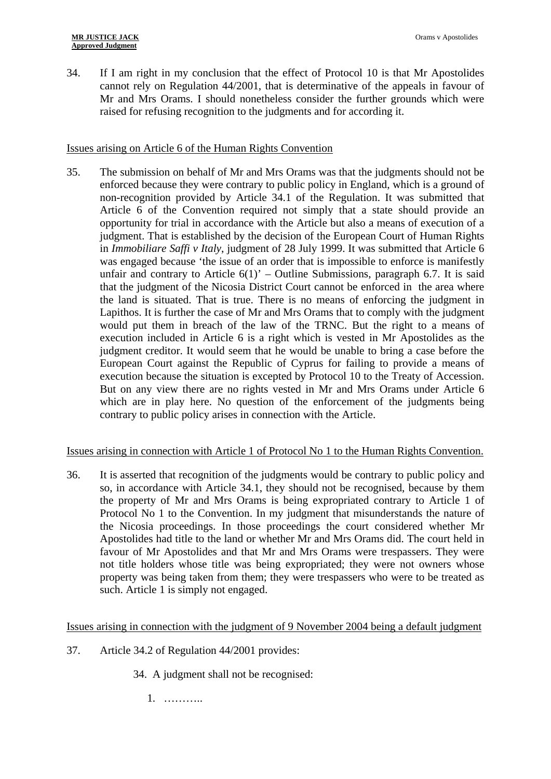34. If I am right in my conclusion that the effect of Protocol 10 is that Mr Apostolides cannot rely on Regulation 44/2001, that is determinative of the appeals in favour of Mr and Mrs Orams. I should nonetheless consider the further grounds which were raised for refusing recognition to the judgments and for according it.

## Issues arising on Article 6 of the Human Rights Convention

35. The submission on behalf of Mr and Mrs Orams was that the judgments should not be enforced because they were contrary to public policy in England, which is a ground of non-recognition provided by Article 34.1 of the Regulation. It was submitted that Article 6 of the Convention required not simply that a state should provide an opportunity for trial in accordance with the Article but also a means of execution of a judgment. That is established by the decision of the European Court of Human Rights in *Immobiliare Saffi v Italy*, judgment of 28 July 1999. It was submitted that Article 6 was engaged because 'the issue of an order that is impossible to enforce is manifestly unfair and contrary to Article  $6(1)'$  – Outline Submissions, paragraph 6.7. It is said that the judgment of the Nicosia District Court cannot be enforced in the area where the land is situated. That is true. There is no means of enforcing the judgment in Lapithos. It is further the case of Mr and Mrs Orams that to comply with the judgment would put them in breach of the law of the TRNC. But the right to a means of execution included in Article 6 is a right which is vested in Mr Apostolides as the judgment creditor. It would seem that he would be unable to bring a case before the European Court against the Republic of Cyprus for failing to provide a means of execution because the situation is excepted by Protocol 10 to the Treaty of Accession. But on any view there are no rights vested in Mr and Mrs Orams under Article 6 which are in play here. No question of the enforcement of the judgments being contrary to public policy arises in connection with the Article.

### Issues arising in connection with Article 1 of Protocol No 1 to the Human Rights Convention.

36. It is asserted that recognition of the judgments would be contrary to public policy and so, in accordance with Article 34.1, they should not be recognised, because by them the property of Mr and Mrs Orams is being expropriated contrary to Article 1 of Protocol No 1 to the Convention. In my judgment that misunderstands the nature of the Nicosia proceedings. In those proceedings the court considered whether Mr Apostolides had title to the land or whether Mr and Mrs Orams did. The court held in favour of Mr Apostolides and that Mr and Mrs Orams were trespassers. They were not title holders whose title was being expropriated; they were not owners whose property was being taken from them; they were trespassers who were to be treated as such. Article 1 is simply not engaged.

### Issues arising in connection with the judgment of 9 November 2004 being a default judgment

- 37. Article 34.2 of Regulation 44/2001 provides:
	- 34. A judgment shall not be recognised:

1. ………..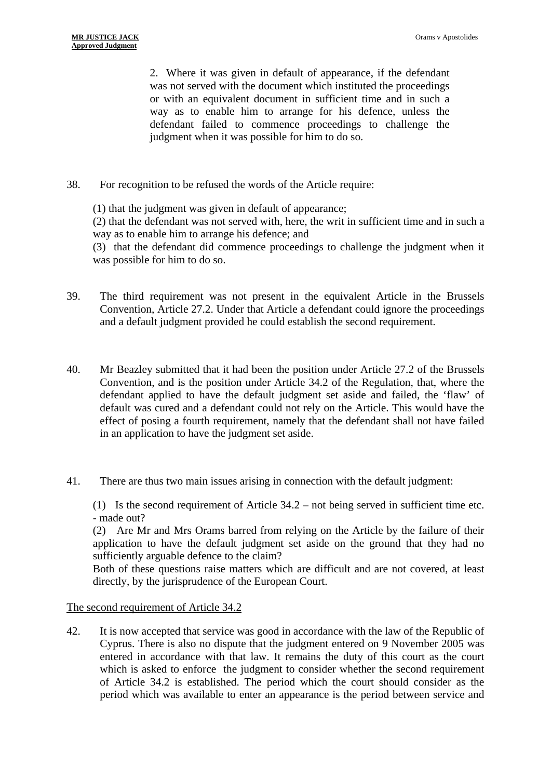2. Where it was given in default of appearance, if the defendant was not served with the document which instituted the proceedings or with an equivalent document in sufficient time and in such a way as to enable him to arrange for his defence, unless the defendant failed to commence proceedings to challenge the judgment when it was possible for him to do so.

38. For recognition to be refused the words of the Article require:

(1) that the judgment was given in default of appearance;

(2) that the defendant was not served with, here, the writ in sufficient time and in such a way as to enable him to arrange his defence; and

(3) that the defendant did commence proceedings to challenge the judgment when it was possible for him to do so.

- 39. The third requirement was not present in the equivalent Article in the Brussels Convention, Article 27.2. Under that Article a defendant could ignore the proceedings and a default judgment provided he could establish the second requirement.
- 40. Mr Beazley submitted that it had been the position under Article 27.2 of the Brussels Convention, and is the position under Article 34.2 of the Regulation, that, where the defendant applied to have the default judgment set aside and failed, the 'flaw' of default was cured and a defendant could not rely on the Article. This would have the effect of posing a fourth requirement, namely that the defendant shall not have failed in an application to have the judgment set aside.
- 41. There are thus two main issues arising in connection with the default judgment:

(1) Is the second requirement of Article 34.2 – not being served in sufficient time etc. - made out?

(2) Are Mr and Mrs Orams barred from relying on the Article by the failure of their application to have the default judgment set aside on the ground that they had no sufficiently arguable defence to the claim?

Both of these questions raise matters which are difficult and are not covered, at least directly, by the jurisprudence of the European Court.

The second requirement of Article 34.2

42. It is now accepted that service was good in accordance with the law of the Republic of Cyprus. There is also no dispute that the judgment entered on 9 November 2005 was entered in accordance with that law. It remains the duty of this court as the court which is asked to enforce the judgment to consider whether the second requirement of Article 34.2 is established. The period which the court should consider as the period which was available to enter an appearance is the period between service and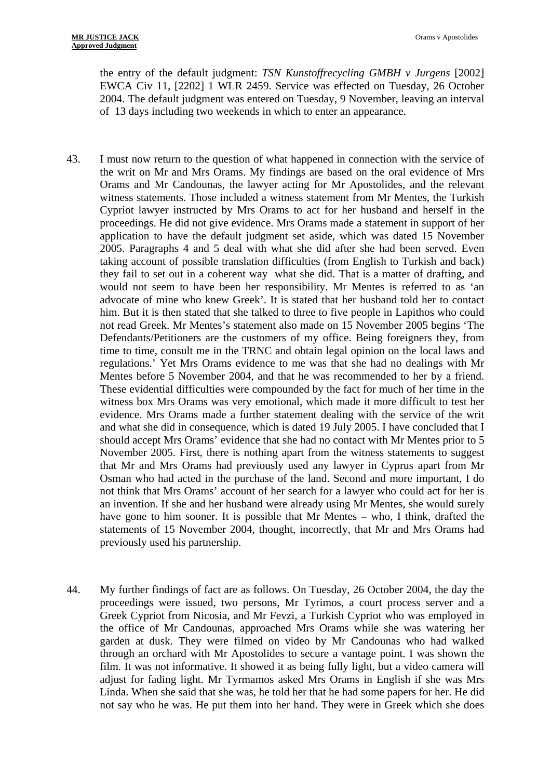the entry of the default judgment: *TSN Kunstoffrecycling GMBH v Jurgens* [2002] EWCA Civ 11, [2202] 1 WLR 2459. Service was effected on Tuesday, 26 October 2004. The default judgment was entered on Tuesday, 9 November, leaving an interval of 13 days including two weekends in which to enter an appearance.

- 43. I must now return to the question of what happened in connection with the service of the writ on Mr and Mrs Orams. My findings are based on the oral evidence of Mrs Orams and Mr Candounas, the lawyer acting for Mr Apostolides, and the relevant witness statements. Those included a witness statement from Mr Mentes, the Turkish Cypriot lawyer instructed by Mrs Orams to act for her husband and herself in the proceedings. He did not give evidence. Mrs Orams made a statement in support of her application to have the default judgment set aside, which was dated 15 November 2005. Paragraphs 4 and 5 deal with what she did after she had been served. Even taking account of possible translation difficulties (from English to Turkish and back) they fail to set out in a coherent way what she did. That is a matter of drafting, and would not seem to have been her responsibility. Mr Mentes is referred to as 'an advocate of mine who knew Greek'. It is stated that her husband told her to contact him. But it is then stated that she talked to three to five people in Lapithos who could not read Greek. Mr Mentes's statement also made on 15 November 2005 begins 'The Defendants/Petitioners are the customers of my office. Being foreigners they, from time to time, consult me in the TRNC and obtain legal opinion on the local laws and regulations.' Yet Mrs Orams evidence to me was that she had no dealings with Mr Mentes before 5 November 2004, and that he was recommended to her by a friend. These evidential difficulties were compounded by the fact for much of her time in the witness box Mrs Orams was very emotional, which made it more difficult to test her evidence. Mrs Orams made a further statement dealing with the service of the writ and what she did in consequence, which is dated 19 July 2005. I have concluded that I should accept Mrs Orams' evidence that she had no contact with Mr Mentes prior to 5 November 2005. First, there is nothing apart from the witness statements to suggest that Mr and Mrs Orams had previously used any lawyer in Cyprus apart from Mr Osman who had acted in the purchase of the land. Second and more important, I do not think that Mrs Orams' account of her search for a lawyer who could act for her is an invention. If she and her husband were already using Mr Mentes, she would surely have gone to him sooner. It is possible that Mr Mentes – who, I think, drafted the statements of 15 November 2004, thought, incorrectly, that Mr and Mrs Orams had previously used his partnership.
- 44. My further findings of fact are as follows. On Tuesday, 26 October 2004, the day the proceedings were issued, two persons, Mr Tyrimos, a court process server and a Greek Cypriot from Nicosia, and Mr Fevzi, a Turkish Cypriot who was employed in the office of Mr Candounas, approached Mrs Orams while she was watering her garden at dusk. They were filmed on video by Mr Candounas who had walked through an orchard with Mr Apostolides to secure a vantage point. I was shown the film. It was not informative. It showed it as being fully light, but a video camera will adjust for fading light. Mr Tyrmamos asked Mrs Orams in English if she was Mrs Linda. When she said that she was, he told her that he had some papers for her. He did not say who he was. He put them into her hand. They were in Greek which she does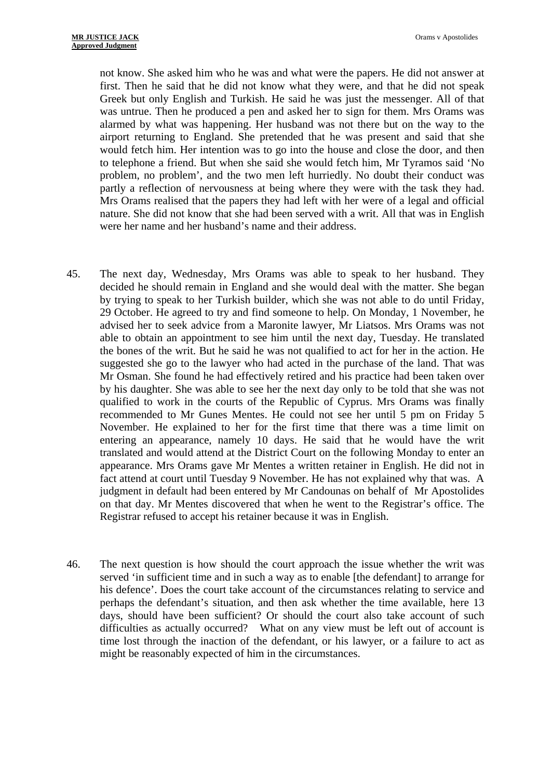not know. She asked him who he was and what were the papers. He did not answer at first. Then he said that he did not know what they were, and that he did not speak Greek but only English and Turkish. He said he was just the messenger. All of that was untrue. Then he produced a pen and asked her to sign for them. Mrs Orams was alarmed by what was happening. Her husband was not there but on the way to the airport returning to England. She pretended that he was present and said that she would fetch him. Her intention was to go into the house and close the door, and then to telephone a friend. But when she said she would fetch him, Mr Tyramos said 'No problem, no problem', and the two men left hurriedly. No doubt their conduct was partly a reflection of nervousness at being where they were with the task they had. Mrs Orams realised that the papers they had left with her were of a legal and official nature. She did not know that she had been served with a writ. All that was in English were her name and her husband's name and their address.

- 45. The next day, Wednesday, Mrs Orams was able to speak to her husband. They decided he should remain in England and she would deal with the matter. She began by trying to speak to her Turkish builder, which she was not able to do until Friday, 29 October. He agreed to try and find someone to help. On Monday, 1 November, he advised her to seek advice from a Maronite lawyer, Mr Liatsos. Mrs Orams was not able to obtain an appointment to see him until the next day, Tuesday. He translated the bones of the writ. But he said he was not qualified to act for her in the action. He suggested she go to the lawyer who had acted in the purchase of the land. That was Mr Osman. She found he had effectively retired and his practice had been taken over by his daughter. She was able to see her the next day only to be told that she was not qualified to work in the courts of the Republic of Cyprus. Mrs Orams was finally recommended to Mr Gunes Mentes. He could not see her until 5 pm on Friday 5 November. He explained to her for the first time that there was a time limit on entering an appearance, namely 10 days. He said that he would have the writ translated and would attend at the District Court on the following Monday to enter an appearance. Mrs Orams gave Mr Mentes a written retainer in English. He did not in fact attend at court until Tuesday 9 November. He has not explained why that was. A judgment in default had been entered by Mr Candounas on behalf of Mr Apostolides on that day. Mr Mentes discovered that when he went to the Registrar's office. The Registrar refused to accept his retainer because it was in English.
- 46. The next question is how should the court approach the issue whether the writ was served 'in sufficient time and in such a way as to enable [the defendant] to arrange for his defence'. Does the court take account of the circumstances relating to service and perhaps the defendant's situation, and then ask whether the time available, here 13 days, should have been sufficient? Or should the court also take account of such difficulties as actually occurred? What on any view must be left out of account is time lost through the inaction of the defendant, or his lawyer, or a failure to act as might be reasonably expected of him in the circumstances.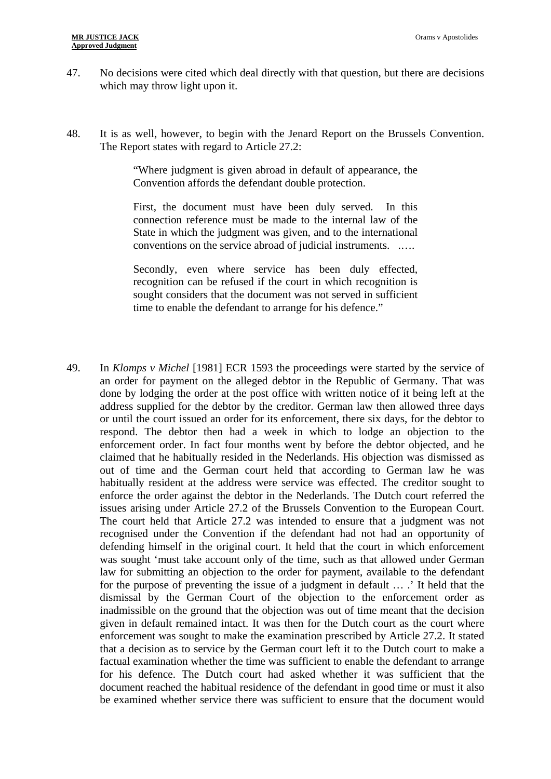- 47. No decisions were cited which deal directly with that question, but there are decisions which may throw light upon it.
- 48. It is as well, however, to begin with the Jenard Report on the Brussels Convention. The Report states with regard to Article 27.2:

"Where judgment is given abroad in default of appearance, the Convention affords the defendant double protection.

First, the document must have been duly served. In this connection reference must be made to the internal law of the State in which the judgment was given, and to the international conventions on the service abroad of judicial instruments. .….

Secondly, even where service has been duly effected, recognition can be refused if the court in which recognition is sought considers that the document was not served in sufficient time to enable the defendant to arrange for his defence."

49. In *Klomps v Michel* [1981] ECR 1593 the proceedings were started by the service of an order for payment on the alleged debtor in the Republic of Germany. That was done by lodging the order at the post office with written notice of it being left at the address supplied for the debtor by the creditor. German law then allowed three days or until the court issued an order for its enforcement, there six days, for the debtor to respond. The debtor then had a week in which to lodge an objection to the enforcement order. In fact four months went by before the debtor objected, and he claimed that he habitually resided in the Nederlands. His objection was dismissed as out of time and the German court held that according to German law he was habitually resident at the address were service was effected. The creditor sought to enforce the order against the debtor in the Nederlands. The Dutch court referred the issues arising under Article 27.2 of the Brussels Convention to the European Court. The court held that Article 27.2 was intended to ensure that a judgment was not recognised under the Convention if the defendant had not had an opportunity of defending himself in the original court. It held that the court in which enforcement was sought 'must take account only of the time, such as that allowed under German law for submitting an objection to the order for payment, available to the defendant for the purpose of preventing the issue of a judgment in default … .' It held that the dismissal by the German Court of the objection to the enforcement order as inadmissible on the ground that the objection was out of time meant that the decision given in default remained intact. It was then for the Dutch court as the court where enforcement was sought to make the examination prescribed by Article 27.2. It stated that a decision as to service by the German court left it to the Dutch court to make a factual examination whether the time was sufficient to enable the defendant to arrange for his defence. The Dutch court had asked whether it was sufficient that the document reached the habitual residence of the defendant in good time or must it also be examined whether service there was sufficient to ensure that the document would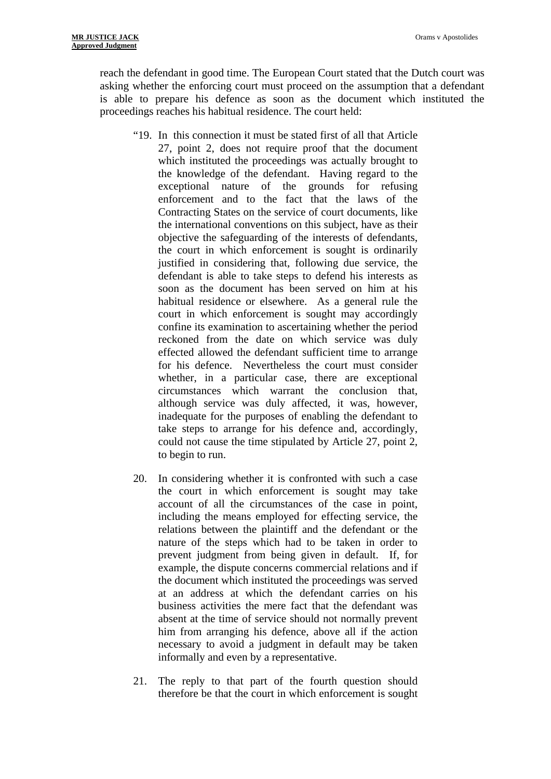reach the defendant in good time. The European Court stated that the Dutch court was asking whether the enforcing court must proceed on the assumption that a defendant is able to prepare his defence as soon as the document which instituted the proceedings reaches his habitual residence. The court held:

- "19. In this connection it must be stated first of all that Article 27, point 2, does not require proof that the document which instituted the proceedings was actually brought to the knowledge of the defendant. Having regard to the exceptional nature of the grounds for refusing enforcement and to the fact that the laws of the Contracting States on the service of court documents, like the international conventions on this subject, have as their objective the safeguarding of the interests of defendants, the court in which enforcement is sought is ordinarily justified in considering that, following due service, the defendant is able to take steps to defend his interests as soon as the document has been served on him at his habitual residence or elsewhere. As a general rule the court in which enforcement is sought may accordingly confine its examination to ascertaining whether the period reckoned from the date on which service was duly effected allowed the defendant sufficient time to arrange for his defence. Nevertheless the court must consider whether, in a particular case, there are exceptional circumstances which warrant the conclusion that, although service was duly affected, it was, however, inadequate for the purposes of enabling the defendant to take steps to arrange for his defence and, accordingly, could not cause the time stipulated by Article 27, point 2, to begin to run.
- 20. In considering whether it is confronted with such a case the court in which enforcement is sought may take account of all the circumstances of the case in point, including the means employed for effecting service, the relations between the plaintiff and the defendant or the nature of the steps which had to be taken in order to prevent judgment from being given in default. If, for example, the dispute concerns commercial relations and if the document which instituted the proceedings was served at an address at which the defendant carries on his business activities the mere fact that the defendant was absent at the time of service should not normally prevent him from arranging his defence, above all if the action necessary to avoid a judgment in default may be taken informally and even by a representative.
- 21. The reply to that part of the fourth question should therefore be that the court in which enforcement is sought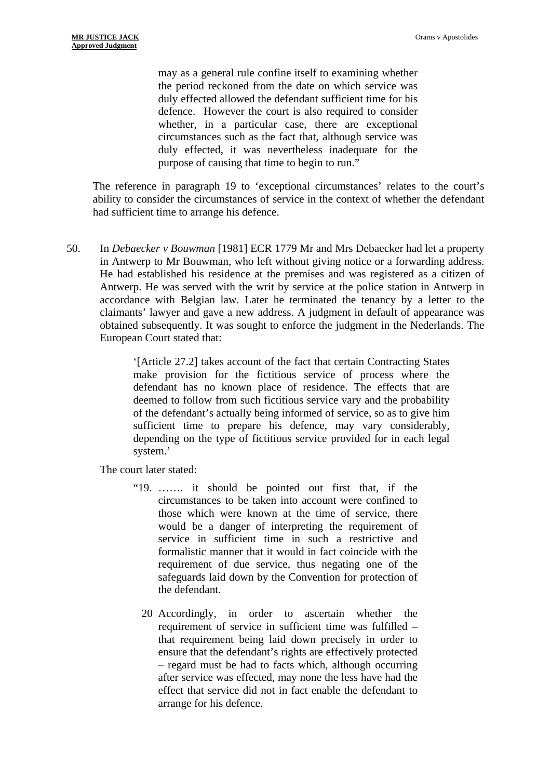may as a general rule confine itself to examining whether the period reckoned from the date on which service was duly effected allowed the defendant sufficient time for his defence. However the court is also required to consider whether, in a particular case, there are exceptional circumstances such as the fact that, although service was duly effected, it was nevertheless inadequate for the purpose of causing that time to begin to run."

The reference in paragraph 19 to 'exceptional circumstances' relates to the court's ability to consider the circumstances of service in the context of whether the defendant had sufficient time to arrange his defence.

50. In *Debaecker v Bouwman* [1981] ECR 1779 Mr and Mrs Debaecker had let a property in Antwerp to Mr Bouwman, who left without giving notice or a forwarding address. He had established his residence at the premises and was registered as a citizen of Antwerp. He was served with the writ by service at the police station in Antwerp in accordance with Belgian law. Later he terminated the tenancy by a letter to the claimants' lawyer and gave a new address. A judgment in default of appearance was obtained subsequently. It was sought to enforce the judgment in the Nederlands. The European Court stated that:

> '[Article 27.2] takes account of the fact that certain Contracting States make provision for the fictitious service of process where the defendant has no known place of residence. The effects that are deemed to follow from such fictitious service vary and the probability of the defendant's actually being informed of service, so as to give him sufficient time to prepare his defence, may vary considerably, depending on the type of fictitious service provided for in each legal system.'

The court later stated:

- "19. ……. it should be pointed out first that, if the circumstances to be taken into account were confined to those which were known at the time of service, there would be a danger of interpreting the requirement of service in sufficient time in such a restrictive and formalistic manner that it would in fact coincide with the requirement of due service, thus negating one of the safeguards laid down by the Convention for protection of the defendant.
	- 20 Accordingly, in order to ascertain whether the requirement of service in sufficient time was fulfilled – that requirement being laid down precisely in order to ensure that the defendant's rights are effectively protected – regard must be had to facts which, although occurring after service was effected, may none the less have had the effect that service did not in fact enable the defendant to arrange for his defence.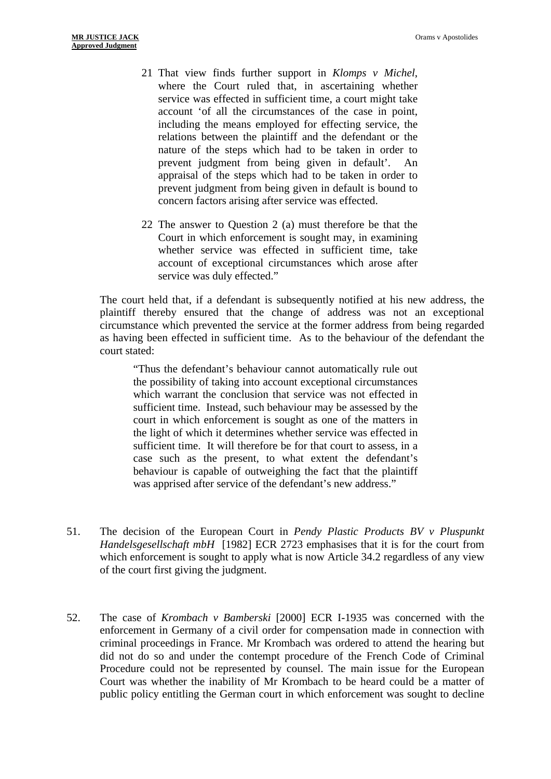- 21 That view finds further support in *Klomps v Michel*, where the Court ruled that, in ascertaining whether service was effected in sufficient time, a court might take account 'of all the circumstances of the case in point, including the means employed for effecting service, the relations between the plaintiff and the defendant or the nature of the steps which had to be taken in order to prevent judgment from being given in default'. An appraisal of the steps which had to be taken in order to prevent judgment from being given in default is bound to concern factors arising after service was effected.
- 22 The answer to Question 2 (a) must therefore be that the Court in which enforcement is sought may, in examining whether service was effected in sufficient time, take account of exceptional circumstances which arose after service was duly effected."

The court held that, if a defendant is subsequently notified at his new address, the plaintiff thereby ensured that the change of address was not an exceptional circumstance which prevented the service at the former address from being regarded as having been effected in sufficient time. As to the behaviour of the defendant the court stated:

"Thus the defendant's behaviour cannot automatically rule out the possibility of taking into account exceptional circumstances which warrant the conclusion that service was not effected in sufficient time. Instead, such behaviour may be assessed by the court in which enforcement is sought as one of the matters in the light of which it determines whether service was effected in sufficient time. It will therefore be for that court to assess, in a case such as the present, to what extent the defendant's behaviour is capable of outweighing the fact that the plaintiff was apprised after service of the defendant's new address."

- 51. The decision of the European Court in *Pendy Plastic Products BV v Pluspunkt Handelsgesellschaft mbH* [1982] ECR 2723 emphasises that it is for the court from which enforcement is sought to apply what is now Article 34.2 regardless of any view of the court first giving the judgment.
- 52. The case of *Krombach v Bamberski* [2000] ECR I-1935 was concerned with the enforcement in Germany of a civil order for compensation made in connection with criminal proceedings in France. Mr Krombach was ordered to attend the hearing but did not do so and under the contempt procedure of the French Code of Criminal Procedure could not be represented by counsel. The main issue for the European Court was whether the inability of Mr Krombach to be heard could be a matter of public policy entitling the German court in which enforcement was sought to decline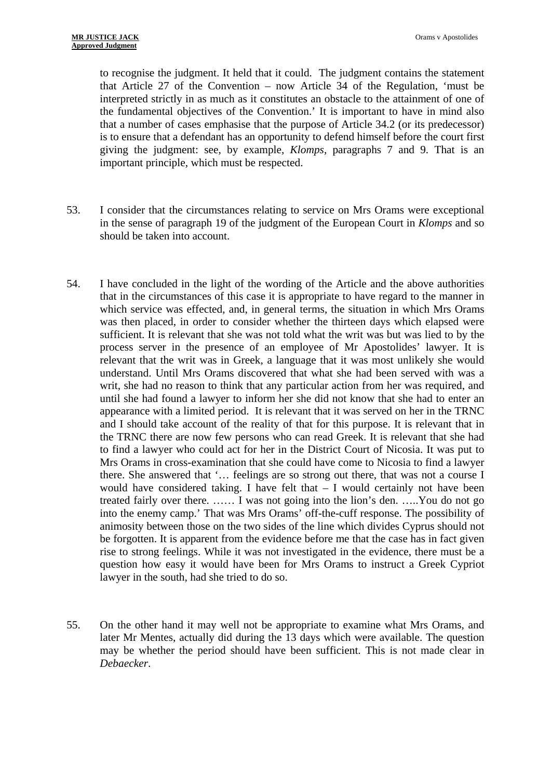to recognise the judgment. It held that it could. The judgment contains the statement that Article 27 of the Convention – now Article 34 of the Regulation, 'must be interpreted strictly in as much as it constitutes an obstacle to the attainment of one of the fundamental objectives of the Convention.' It is important to have in mind also that a number of cases emphasise that the purpose of Article 34.2 (or its predecessor) is to ensure that a defendant has an opportunity to defend himself before the court first giving the judgment: see, by example, *Klomps*, paragraphs 7 and 9. That is an important principle, which must be respected.

- 53. I consider that the circumstances relating to service on Mrs Orams were exceptional in the sense of paragraph 19 of the judgment of the European Court in *Klomps* and so should be taken into account.
- 54. I have concluded in the light of the wording of the Article and the above authorities that in the circumstances of this case it is appropriate to have regard to the manner in which service was effected, and, in general terms, the situation in which Mrs Orams was then placed, in order to consider whether the thirteen days which elapsed were sufficient. It is relevant that she was not told what the writ was but was lied to by the process server in the presence of an employee of Mr Apostolides' lawyer. It is relevant that the writ was in Greek, a language that it was most unlikely she would understand. Until Mrs Orams discovered that what she had been served with was a writ, she had no reason to think that any particular action from her was required, and until she had found a lawyer to inform her she did not know that she had to enter an appearance with a limited period. It is relevant that it was served on her in the TRNC and I should take account of the reality of that for this purpose. It is relevant that in the TRNC there are now few persons who can read Greek. It is relevant that she had to find a lawyer who could act for her in the District Court of Nicosia. It was put to Mrs Orams in cross-examination that she could have come to Nicosia to find a lawyer there. She answered that '… feelings are so strong out there, that was not a course I would have considered taking. I have felt that – I would certainly not have been treated fairly over there. …… I was not going into the lion's den. …..You do not go into the enemy camp.' That was Mrs Orams' off-the-cuff response. The possibility of animosity between those on the two sides of the line which divides Cyprus should not be forgotten. It is apparent from the evidence before me that the case has in fact given rise to strong feelings. While it was not investigated in the evidence, there must be a question how easy it would have been for Mrs Orams to instruct a Greek Cypriot lawyer in the south, had she tried to do so.
- 55. On the other hand it may well not be appropriate to examine what Mrs Orams, and later Mr Mentes, actually did during the 13 days which were available. The question may be whether the period should have been sufficient. This is not made clear in *Debaecker*.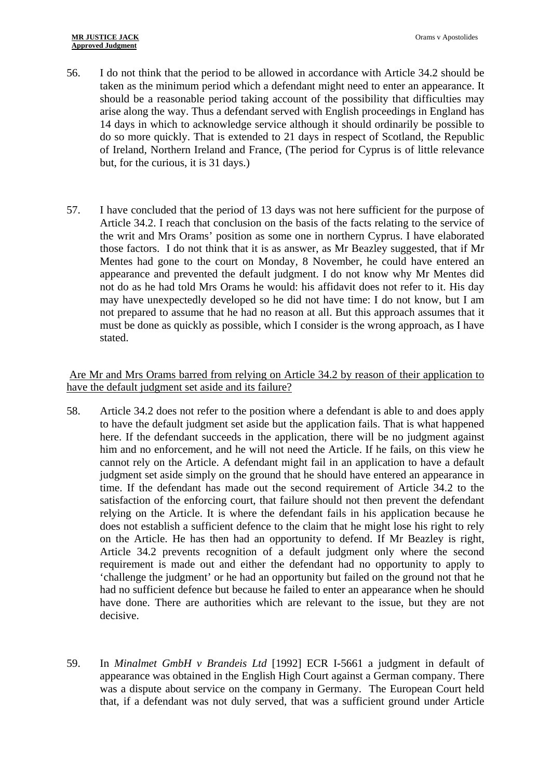#### **MR JUSTICE JACK Approved Judgment**

- 56. I do not think that the period to be allowed in accordance with Article 34.2 should be taken as the minimum period which a defendant might need to enter an appearance. It should be a reasonable period taking account of the possibility that difficulties may arise along the way. Thus a defendant served with English proceedings in England has 14 days in which to acknowledge service although it should ordinarily be possible to do so more quickly. That is extended to 21 days in respect of Scotland, the Republic of Ireland, Northern Ireland and France, (The period for Cyprus is of little relevance but, for the curious, it is 31 days.)
- 57. I have concluded that the period of 13 days was not here sufficient for the purpose of Article 34.2. I reach that conclusion on the basis of the facts relating to the service of the writ and Mrs Orams' position as some one in northern Cyprus. I have elaborated those factors. I do not think that it is as answer, as Mr Beazley suggested, that if Mr Mentes had gone to the court on Monday, 8 November, he could have entered an appearance and prevented the default judgment. I do not know why Mr Mentes did not do as he had told Mrs Orams he would: his affidavit does not refer to it. His day may have unexpectedly developed so he did not have time: I do not know, but I am not prepared to assume that he had no reason at all. But this approach assumes that it must be done as quickly as possible, which I consider is the wrong approach, as I have stated.

## Are Mr and Mrs Orams barred from relying on Article 34.2 by reason of their application to have the default judgment set aside and its failure?

- 58. Article 34.2 does not refer to the position where a defendant is able to and does apply to have the default judgment set aside but the application fails. That is what happened here. If the defendant succeeds in the application, there will be no judgment against him and no enforcement, and he will not need the Article. If he fails, on this view he cannot rely on the Article. A defendant might fail in an application to have a default judgment set aside simply on the ground that he should have entered an appearance in time. If the defendant has made out the second requirement of Article 34.2 to the satisfaction of the enforcing court, that failure should not then prevent the defendant relying on the Article. It is where the defendant fails in his application because he does not establish a sufficient defence to the claim that he might lose his right to rely on the Article. He has then had an opportunity to defend. If Mr Beazley is right, Article 34.2 prevents recognition of a default judgment only where the second requirement is made out and either the defendant had no opportunity to apply to 'challenge the judgment' or he had an opportunity but failed on the ground not that he had no sufficient defence but because he failed to enter an appearance when he should have done. There are authorities which are relevant to the issue, but they are not decisive.
- 59. In *Minalmet GmbH v Brandeis Ltd* [1992] ECR I-5661 a judgment in default of appearance was obtained in the English High Court against a German company. There was a dispute about service on the company in Germany. The European Court held that, if a defendant was not duly served, that was a sufficient ground under Article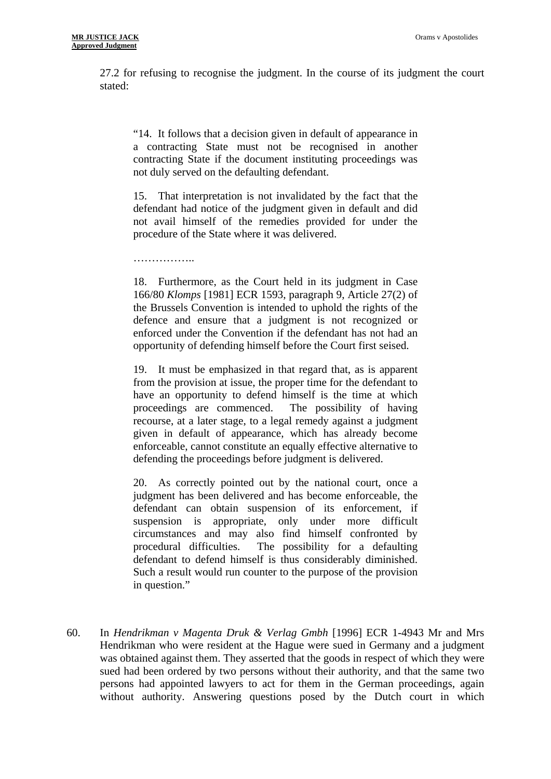27.2 for refusing to recognise the judgment. In the course of its judgment the court stated:

"14. It follows that a decision given in default of appearance in a contracting State must not be recognised in another contracting State if the document instituting proceedings was not duly served on the defaulting defendant.

15. That interpretation is not invalidated by the fact that the defendant had notice of the judgment given in default and did not avail himself of the remedies provided for under the procedure of the State where it was delivered.

. . . . . . . . . . . . . . . . .

18. Furthermore, as the Court held in its judgment in Case 166/80 *Klomps* [1981] ECR 1593, paragraph 9, Article 27(2) of the Brussels Convention is intended to uphold the rights of the defence and ensure that a judgment is not recognized or enforced under the Convention if the defendant has not had an opportunity of defending himself before the Court first seised.

19. It must be emphasized in that regard that, as is apparent from the provision at issue, the proper time for the defendant to have an opportunity to defend himself is the time at which proceedings are commenced. The possibility of having recourse, at a later stage, to a legal remedy against a judgment given in default of appearance, which has already become enforceable, cannot constitute an equally effective alternative to defending the proceedings before judgment is delivered.

20. As correctly pointed out by the national court, once a judgment has been delivered and has become enforceable, the defendant can obtain suspension of its enforcement, if suspension is appropriate, only under more difficult circumstances and may also find himself confronted by procedural difficulties. The possibility for a defaulting defendant to defend himself is thus considerably diminished. Such a result would run counter to the purpose of the provision in question."

60. In *Hendrikman v Magenta Druk & Verlag Gmbh* [1996] ECR 1-4943 Mr and Mrs Hendrikman who were resident at the Hague were sued in Germany and a judgment was obtained against them. They asserted that the goods in respect of which they were sued had been ordered by two persons without their authority, and that the same two persons had appointed lawyers to act for them in the German proceedings, again without authority. Answering questions posed by the Dutch court in which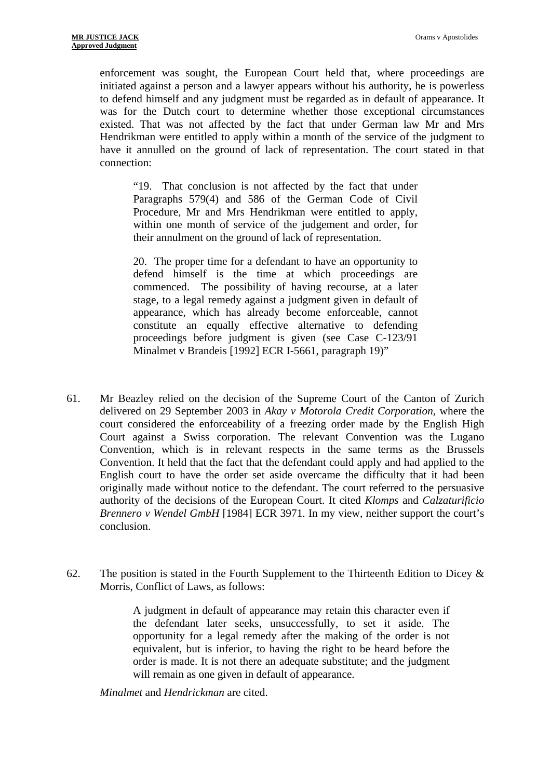enforcement was sought, the European Court held that, where proceedings are initiated against a person and a lawyer appears without his authority, he is powerless to defend himself and any judgment must be regarded as in default of appearance. It was for the Dutch court to determine whether those exceptional circumstances existed. That was not affected by the fact that under German law Mr and Mrs Hendrikman were entitled to apply within a month of the service of the judgment to have it annulled on the ground of lack of representation. The court stated in that connection:

"19. That conclusion is not affected by the fact that under Paragraphs 579(4) and 586 of the German Code of Civil Procedure, Mr and Mrs Hendrikman were entitled to apply, within one month of service of the judgement and order, for their annulment on the ground of lack of representation.

20. The proper time for a defendant to have an opportunity to defend himself is the time at which proceedings are commenced. The possibility of having recourse, at a later stage, to a legal remedy against a judgment given in default of appearance, which has already become enforceable, cannot constitute an equally effective alternative to defending proceedings before judgment is given (see Case C-123/91 Minalmet v Brandeis [1992] ECR I-5661, paragraph 19)"

- 61. Mr Beazley relied on the decision of the Supreme Court of the Canton of Zurich delivered on 29 September 2003 in *Akay v Motorola Credit Corporation*, where the court considered the enforceability of a freezing order made by the English High Court against a Swiss corporation. The relevant Convention was the Lugano Convention, which is in relevant respects in the same terms as the Brussels Convention. It held that the fact that the defendant could apply and had applied to the English court to have the order set aside overcame the difficulty that it had been originally made without notice to the defendant. The court referred to the persuasive authority of the decisions of the European Court. It cited *Klomps* and *Calzaturificio Brennero v Wendel GmbH* [1984] ECR 3971. In my view, neither support the court's conclusion.
- 62. The position is stated in the Fourth Supplement to the Thirteenth Edition to Dicey  $\&$ Morris, Conflict of Laws, as follows:

A judgment in default of appearance may retain this character even if the defendant later seeks, unsuccessfully, to set it aside. The opportunity for a legal remedy after the making of the order is not equivalent, but is inferior, to having the right to be heard before the order is made. It is not there an adequate substitute; and the judgment will remain as one given in default of appearance.

*Minalmet* and *Hendrickman* are cited.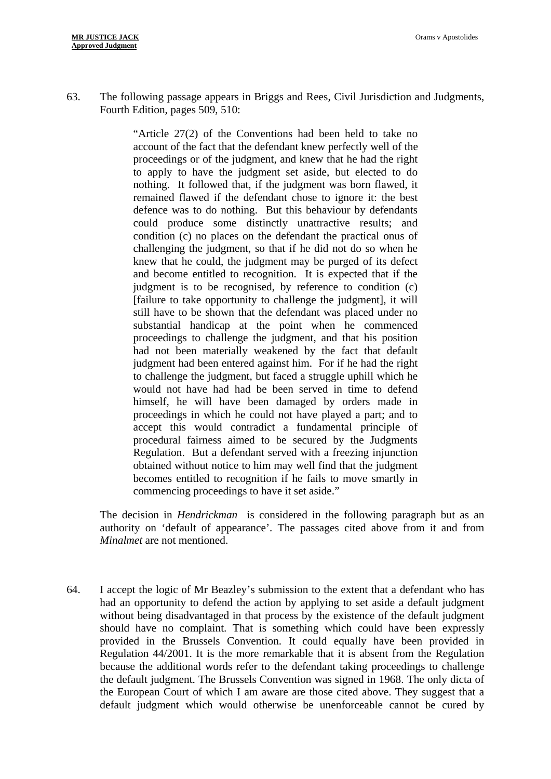63. The following passage appears in Briggs and Rees, Civil Jurisdiction and Judgments, Fourth Edition, pages 509, 510:

> "Article 27(2) of the Conventions had been held to take no account of the fact that the defendant knew perfectly well of the proceedings or of the judgment, and knew that he had the right to apply to have the judgment set aside, but elected to do nothing. It followed that, if the judgment was born flawed, it remained flawed if the defendant chose to ignore it: the best defence was to do nothing. But this behaviour by defendants could produce some distinctly unattractive results; and condition (c) no places on the defendant the practical onus of challenging the judgment, so that if he did not do so when he knew that he could, the judgment may be purged of its defect and become entitled to recognition. It is expected that if the judgment is to be recognised, by reference to condition (c) [failure to take opportunity to challenge the judgment], it will still have to be shown that the defendant was placed under no substantial handicap at the point when he commenced proceedings to challenge the judgment, and that his position had not been materially weakened by the fact that default judgment had been entered against him. For if he had the right to challenge the judgment, but faced a struggle uphill which he would not have had had be been served in time to defend himself, he will have been damaged by orders made in proceedings in which he could not have played a part; and to accept this would contradict a fundamental principle of procedural fairness aimed to be secured by the Judgments Regulation. But a defendant served with a freezing injunction obtained without notice to him may well find that the judgment becomes entitled to recognition if he fails to move smartly in commencing proceedings to have it set aside."

The decision in *Hendrickman* is considered in the following paragraph but as an authority on 'default of appearance'. The passages cited above from it and from *Minalmet* are not mentioned.

64. I accept the logic of Mr Beazley's submission to the extent that a defendant who has had an opportunity to defend the action by applying to set aside a default judgment without being disadvantaged in that process by the existence of the default judgment should have no complaint. That is something which could have been expressly provided in the Brussels Convention. It could equally have been provided in Regulation 44/2001. It is the more remarkable that it is absent from the Regulation because the additional words refer to the defendant taking proceedings to challenge the default judgment. The Brussels Convention was signed in 1968. The only dicta of the European Court of which I am aware are those cited above. They suggest that a default judgment which would otherwise be unenforceable cannot be cured by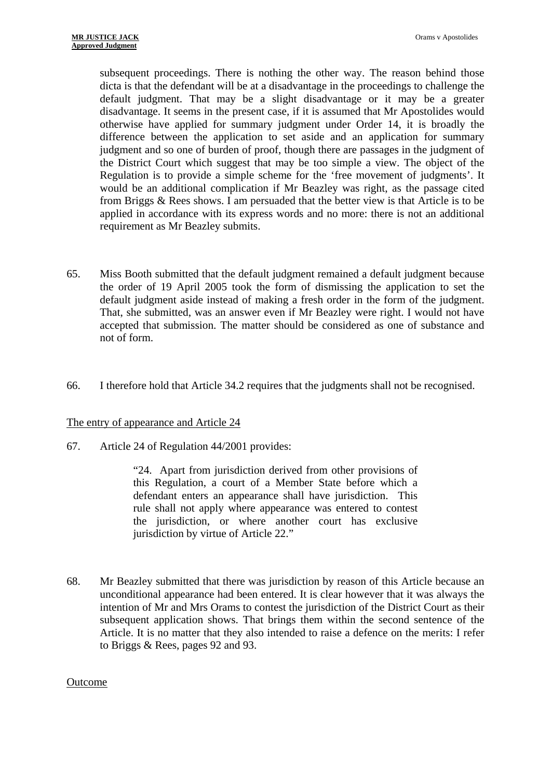subsequent proceedings. There is nothing the other way. The reason behind those dicta is that the defendant will be at a disadvantage in the proceedings to challenge the default judgment. That may be a slight disadvantage or it may be a greater disadvantage. It seems in the present case, if it is assumed that Mr Apostolides would otherwise have applied for summary judgment under Order 14, it is broadly the difference between the application to set aside and an application for summary judgment and so one of burden of proof, though there are passages in the judgment of the District Court which suggest that may be too simple a view. The object of the Regulation is to provide a simple scheme for the 'free movement of judgments'. It would be an additional complication if Mr Beazley was right, as the passage cited from Briggs & Rees shows. I am persuaded that the better view is that Article is to be applied in accordance with its express words and no more: there is not an additional requirement as Mr Beazley submits.

- 65. Miss Booth submitted that the default judgment remained a default judgment because the order of 19 April 2005 took the form of dismissing the application to set the default judgment aside instead of making a fresh order in the form of the judgment. That, she submitted, was an answer even if Mr Beazley were right. I would not have accepted that submission. The matter should be considered as one of substance and not of form.
- 66. I therefore hold that Article 34.2 requires that the judgments shall not be recognised.

### The entry of appearance and Article 24

67. Article 24 of Regulation 44/2001 provides:

"24. Apart from jurisdiction derived from other provisions of this Regulation, a court of a Member State before which a defendant enters an appearance shall have jurisdiction. This rule shall not apply where appearance was entered to contest the jurisdiction, or where another court has exclusive jurisdiction by virtue of Article 22."

68. Mr Beazley submitted that there was jurisdiction by reason of this Article because an unconditional appearance had been entered. It is clear however that it was always the intention of Mr and Mrs Orams to contest the jurisdiction of the District Court as their subsequent application shows. That brings them within the second sentence of the Article. It is no matter that they also intended to raise a defence on the merits: I refer to Briggs & Rees, pages 92 and 93.

#### Outcome